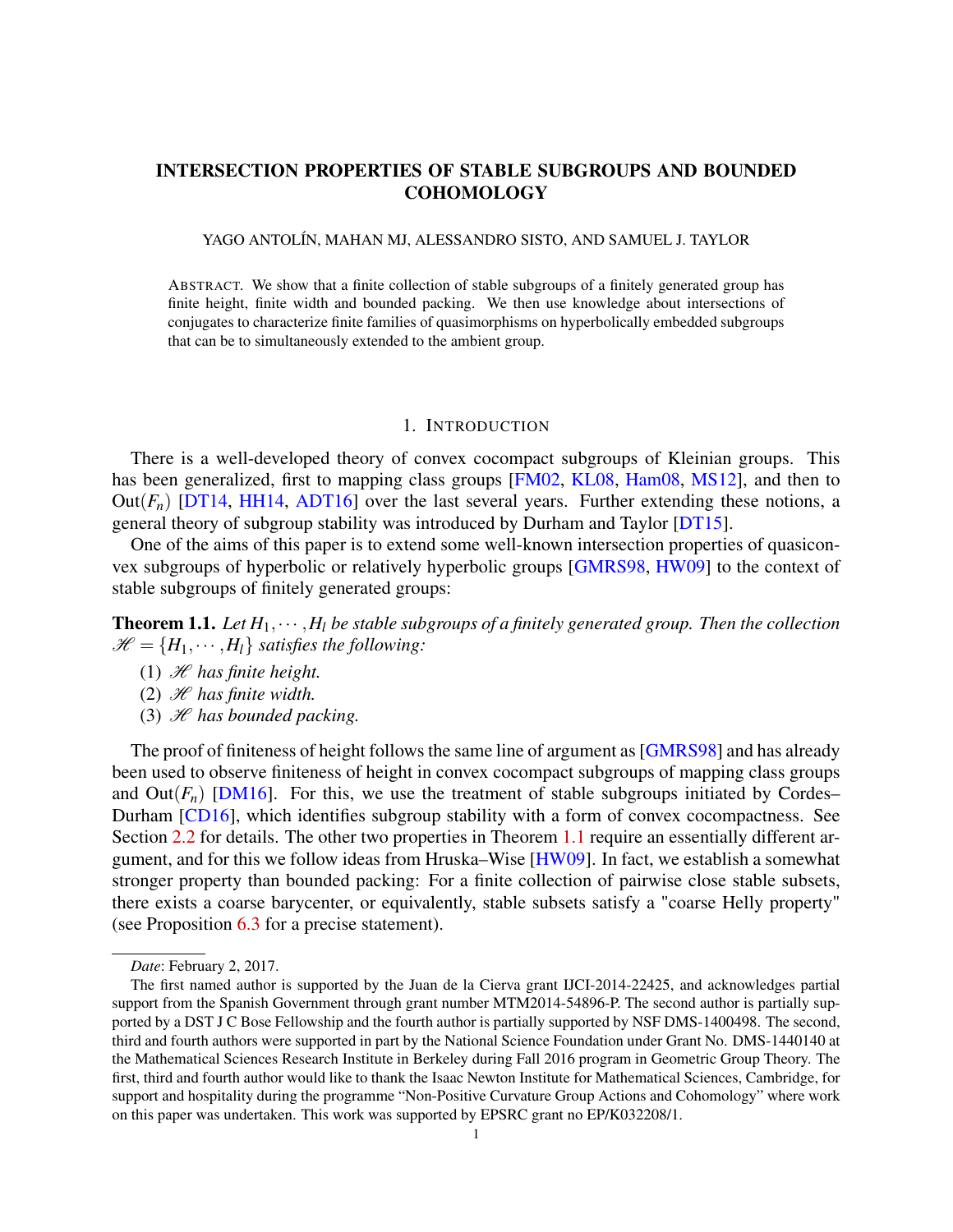# INTERSECTION PROPERTIES OF STABLE SUBGROUPS AND BOUNDED **COHOMOLOGY**

#### YAGO ANTOLÍN, MAHAN MJ, ALESSANDRO SISTO, AND SAMUEL J. TAYLOR

ABSTRACT. We show that a finite collection of stable subgroups of a finitely generated group has finite height, finite width and bounded packing. We then use knowledge about intersections of conjugates to characterize finite families of quasimorphisms on hyperbolically embedded subgroups that can be to simultaneously extended to the ambient group.

#### 1. INTRODUCTION

There is a well-developed theory of convex cocompact subgroups of Kleinian groups. This has been generalized, first to mapping class groups [\[FM02,](#page-14-0) [KL08,](#page-15-0) [Ham08,](#page-14-1) [MS12\]](#page-15-1), and then to Out( $F<sub>n</sub>$ ) [\[DT14,](#page-14-2) [HH14,](#page-14-3) [ADT16\]](#page-14-4) over the last several years. Further extending these notions, a general theory of subgroup stability was introduced by Durham and Taylor [\[DT15\]](#page-14-5).

One of the aims of this paper is to extend some well-known intersection properties of quasiconvex subgroups of hyperbolic or relatively hyperbolic groups [\[GMRS98,](#page-14-6) [HW09\]](#page-15-2) to the context of stable subgroups of finitely generated groups:

<span id="page-0-0"></span>**Theorem 1.1.** Let  $H_1, \dots, H_l$  be stable subgroups of a finitely generated group. Then the collection  $\mathscr{H} = \{H_1, \cdots, H_l\}$  *satisfies the following:* 

- (1)  $\mathscr H$  has finite height.
- (2)  $H$  has finite width.
- (3)  $\mathscr H$  has bounded packing.

The proof of finiteness of height follows the same line of argument as [\[GMRS98\]](#page-14-6) and has already been used to observe finiteness of height in convex cocompact subgroups of mapping class groups and  $Out(F_n)$  [\[DM16\]](#page-14-7). For this, we use the treatment of stable subgroups initiated by Cordes– Durham [\[CD16\]](#page-14-8), which identifies subgroup stability with a form of convex cocompactness. See Section [2.2](#page-3-0) for details. The other two properties in Theorem [1.1](#page-0-0) require an essentially different argument, and for this we follow ideas from Hruska–Wise [\[HW09\]](#page-15-2). In fact, we establish a somewhat stronger property than bounded packing: For a finite collection of pairwise close stable subsets, there exists a coarse barycenter, or equivalently, stable subsets satisfy a "coarse Helly property" (see Proposition [6.3](#page-13-0) for a precise statement).

*Date*: February 2, 2017.

The first named author is supported by the Juan de la Cierva grant IJCI-2014-22425, and acknowledges partial support from the Spanish Government through grant number MTM2014-54896-P. The second author is partially supported by a DST J C Bose Fellowship and the fourth author is partially supported by NSF DMS-1400498. The second, third and fourth authors were supported in part by the National Science Foundation under Grant No. DMS-1440140 at the Mathematical Sciences Research Institute in Berkeley during Fall 2016 program in Geometric Group Theory. The first, third and fourth author would like to thank the Isaac Newton Institute for Mathematical Sciences, Cambridge, for support and hospitality during the programme "Non-Positive Curvature Group Actions and Cohomology" where work on this paper was undertaken. This work was supported by EPSRC grant no EP/K032208/1.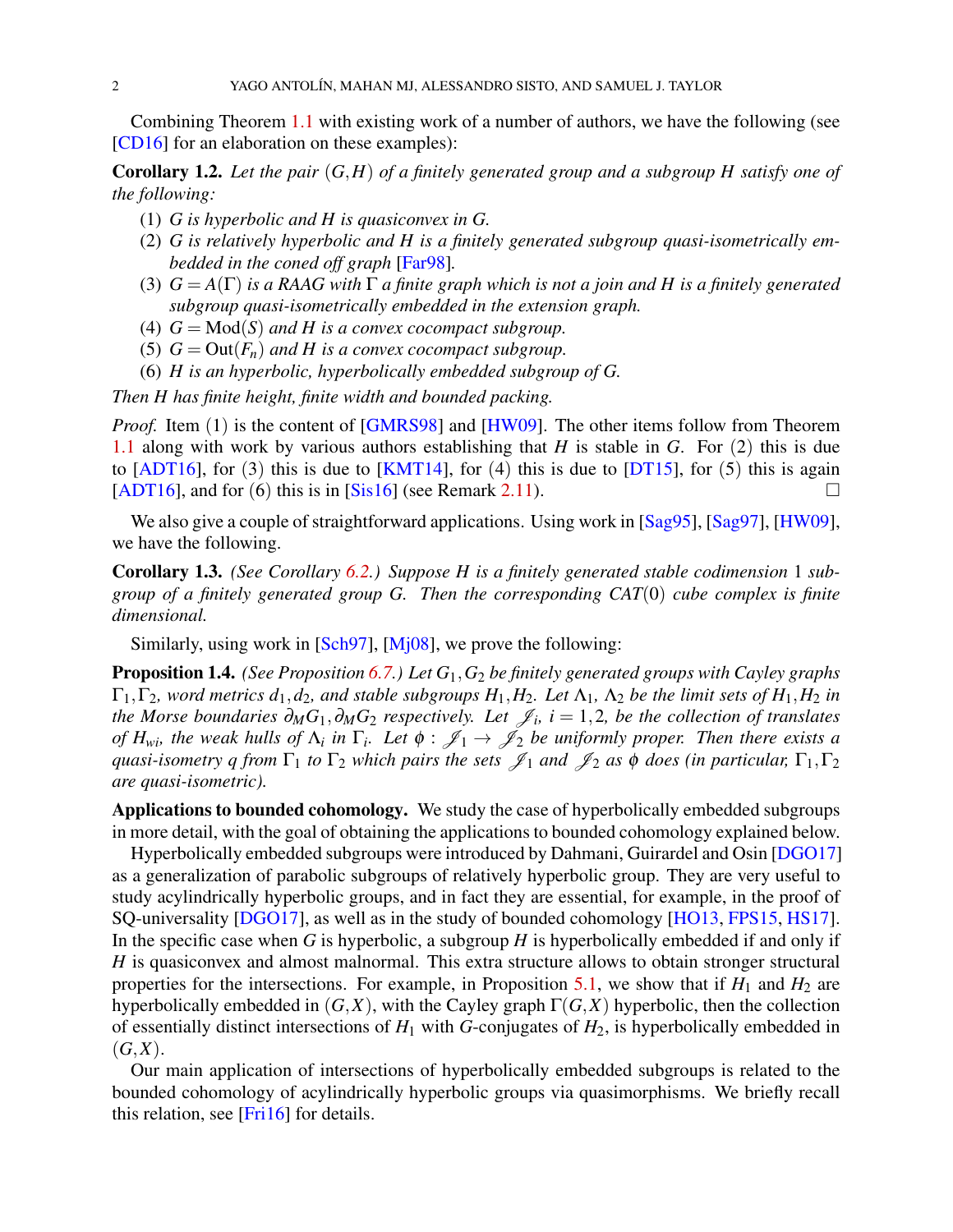Combining Theorem [1.1](#page-0-0) with existing work of a number of authors, we have the following (see [\[CD16\]](#page-14-8) for an elaboration on these examples):

<span id="page-1-0"></span>Corollary 1.2. *Let the pair* (*G*,*H*) *of a finitely generated group and a subgroup H satisfy one of the following:*

- (1) *G is hyperbolic and H is quasiconvex in G.*
- (2) *G is relatively hyperbolic and H is a finitely generated subgroup quasi-isometrically embedded in the coned off graph* [\[Far98\]](#page-14-9)*.*
- (3)  $G = A(\Gamma)$  *is a RAAG with*  $\Gamma$  *a finite graph which is not a join and* H *is a finitely generated subgroup quasi-isometrically embedded in the extension graph.*
- (4)  $G = Mod(S)$  *and H is a convex cocompact subgroup.*
- (5)  $G = Out(F_n)$  *and H is a convex cocompact subgroup.*
- (6) *H is an hyperbolic, hyperbolically embedded subgroup of G.*

*Then H has finite height, finite width and bounded packing.*

*Proof.* Item (1) is the content of [\[GMRS98\]](#page-14-6) and [\[HW09\]](#page-15-2). The other items follow from Theorem [1.1](#page-0-0) along with work by various authors establishing that *H* is stable in *G*. For (2) this is due to  $[ADT16]$ , for  $(3)$  this is due to  $[KMT14]$ , for  $(4)$  this is due to  $[DT15]$ , for  $(5)$  this is again [\[ADT16\]](#page-14-4), and for (6) this is in [\[Sis16\]](#page-15-4) (see Remark [2.11\)](#page-5-0).

We also give a couple of straightforward applications. Using work in [\[Sag95\]](#page-15-5), [\[Sag97\]](#page-15-6), [\[HW09\]](#page-15-2), we have the following.

Corollary 1.3. *(See Corollary [6.2.](#page-12-0)) Suppose H is a finitely generated stable codimension* 1 *subgroup of a finitely generated group G. Then the corresponding CAT*(0) *cube complex is finite dimensional.*

Similarly, using work in [\[Sch97\]](#page-15-7), [\[Mj08\]](#page-15-8), we prove the following:

Proposition 1.4. *(See Proposition [6.7.](#page-14-10)) Let G*1,*G*<sup>2</sup> *be finitely generated groups with Cayley graphs* Γ1,Γ2*, word metrics d*1,*d*2*, and stable subgroups H*1,*H*2*. Let* Λ1*,* Λ<sup>2</sup> *be the limit sets of H*1,*H*<sup>2</sup> *in the Morse boundaries*  $\partial_M G_1$ , $\partial_M G_2$  *respectively. Let*  $\mathscr{J}_i$ , *i* = 1,2, *be the collection of translates of*  $H_{wi}$ , the weak hulls of  $\Lambda_i$  in  $\Gamma_i$ . Let  $\phi$  :  $\mathscr{J}_1 \to \mathscr{J}_2$  be uniformly proper. Then there exists a *quasi-isometry q from*  $\Gamma_1$  *to*  $\Gamma_2$  *which pairs the sets*  $\mathcal{J}_1$  *and*  $\mathcal{J}_2$  *as*  $\phi$  *does (in particular,*  $\Gamma_1, \Gamma_2$ *are quasi-isometric).*

Applications to bounded cohomology. We study the case of hyperbolically embedded subgroups in more detail, with the goal of obtaining the applications to bounded cohomology explained below.

Hyperbolically embedded subgroups were introduced by Dahmani, Guirardel and Osin [\[DGO17\]](#page-14-11) as a generalization of parabolic subgroups of relatively hyperbolic group. They are very useful to study acylindrically hyperbolic groups, and in fact they are essential, for example, in the proof of SQ-universality [\[DGO17\]](#page-14-11), as well as in the study of bounded cohomology [\[HO13,](#page-14-12) [FPS15,](#page-14-13) [HS17\]](#page-14-14). In the specific case when *G* is hyperbolic, a subgroup *H* is hyperbolically embedded if and only if *H* is quasiconvex and almost malnormal. This extra structure allows to obtain stronger structural properties for the intersections. For example, in Proposition [5.1,](#page-8-0) we show that if  $H_1$  and  $H_2$  are hyperbolically embedded in  $(G, X)$ , with the Cayley graph  $\Gamma(G, X)$  hyperbolic, then the collection of essentially distinct intersections of *H*<sup>1</sup> with *G*-conjugates of *H*2, is hyperbolically embedded in  $(G, X)$ .

Our main application of intersections of hyperbolically embedded subgroups is related to the bounded cohomology of acylindrically hyperbolic groups via quasimorphisms. We briefly recall this relation, see [\[Fri16\]](#page-14-15) for details.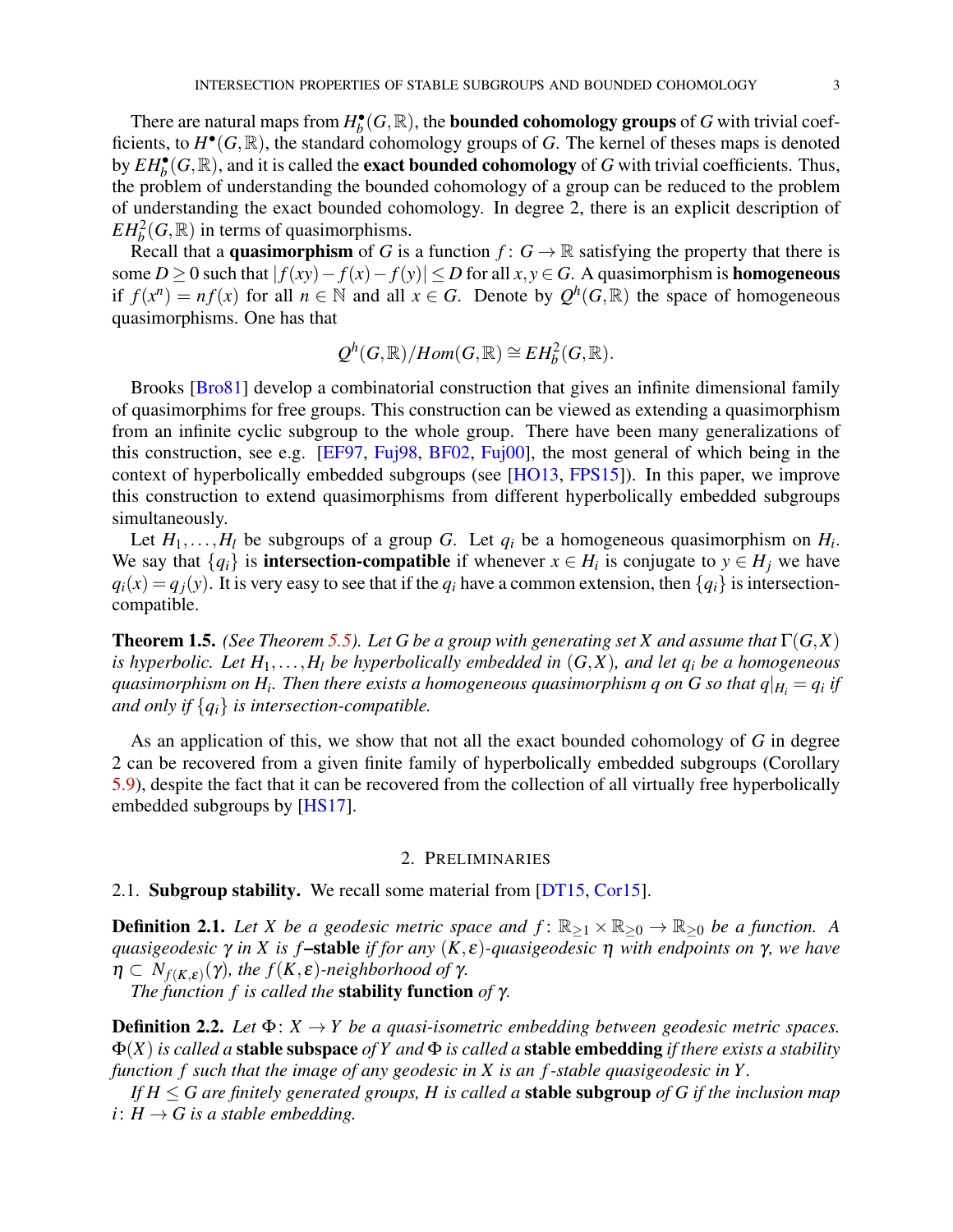There are natural maps from  $H_h^{\bullet}$  $\mathbf{L}_b^{\bullet}(G,\mathbb{R})$ , the **bounded cohomology groups** of *G* with trivial coefficients, to  $H^{\bullet}(G,\mathbb{R})$ , the standard cohomology groups of *G*. The kernel of theses maps is denoted by  $EH_b^{\bullet}(G,\mathbb{R})$ , and it is called the **exact bounded cohomology** of *G* with trivial coefficients. Thus, the problem of understanding the bounded cohomology of a group can be reduced to the problem of understanding the exact bounded cohomology. In degree 2, there is an explicit description of  $EH<sub>b</sub><sup>2</sup>(G,\mathbb{R})$  in terms of quasimorphisms.

Recall that a **quasimorphism** of *G* is a function  $f: G \to \mathbb{R}$  satisfying the property that there is some *D* ≥ 0 such that  $|f(xy) - f(x) - f(y)|$  ≤ *D* for all *x*, *y* ∈ *G*. A quasimorphism is **homogeneous** if  $f(x^n) = nf(x)$  for all  $n \in \mathbb{N}$  and all  $x \in G$ . Denote by  $Q^h(G, \mathbb{R})$  the space of homogeneous quasimorphisms. One has that

$$
Q^h(G,\mathbb{R})/Hom(G,\mathbb{R})\cong EH_b^2(G,\mathbb{R}).
$$

Brooks [\[Bro81\]](#page-14-16) develop a combinatorial construction that gives an infinite dimensional family of quasimorphims for free groups. This construction can be viewed as extending a quasimorphism from an infinite cyclic subgroup to the whole group. There have been many generalizations of this construction, see e.g. [\[EF97,](#page-14-17) [Fuj98,](#page-14-18) [BF02,](#page-14-19) [Fuj00\]](#page-14-20), the most general of which being in the context of hyperbolically embedded subgroups (see [\[HO13,](#page-14-12) [FPS15\]](#page-14-13)). In this paper, we improve this construction to extend quasimorphisms from different hyperbolically embedded subgroups simultaneously.

Let  $H_1, \ldots, H_l$  be subgroups of a group *G*. Let  $q_i$  be a homogeneous quasimorphism on  $H_i$ . We say that  $\{q_i\}$  is **intersection-compatible** if whenever  $x \in H_i$  is conjugate to  $y \in H_j$  we have  $q_i(x) = q_i(y)$ . It is very easy to see that if the  $q_i$  have a common extension, then  $\{q_i\}$  is intersectioncompatible.

**Theorem 1.5.** *(See Theorem [5.5\)](#page-10-0). Let G be a group with generating set X and assume that*  $\Gamma(G,X)$ *is hyperbolic. Let*  $H_1, \ldots, H_l$  *be hyperbolically embedded in*  $(G,X)$ *, and let*  $q_i$  *be a homogeneous*  $q$ uasimorphism on  $H$ <sub>i</sub>. Then there exists a homogeneous  $q$ uasimorphism  $q$  on  $G$  so that  $q|_{H_{i}} = q_{i}$  if *and only if* {*qi*} *is intersection-compatible.*

As an application of this, we show that not all the exact bounded cohomology of *G* in degree 2 can be recovered from a given finite family of hyperbolically embedded subgroups (Corollary [5.9\)](#page-12-1), despite the fact that it can be recovered from the collection of all virtually free hyperbolically embedded subgroups by [\[HS17\]](#page-14-14).

#### 2. PRELIMINARIES

#### 2.1. Subgroup stability. We recall some material from [\[DT15,](#page-14-5) [Cor15\]](#page-14-21).

**Definition 2.1.** Let X be a geodesic metric space and  $f: \mathbb{R}_{\geq 1} \times \mathbb{R}_{\geq 0} \to \mathbb{R}_{\geq 0}$  be a function. A *quasigeodesic* γ *in X is f* –stable *if for any* (*K*, ε)*-quasigeodesic* η *with endpoints on* γ*, we have*  $\eta \subset N_{f(K,\varepsilon)}(\gamma)$ *, the f*(*K*,  $\varepsilon$ )-neighborhood of  $\gamma$ .

*The function f is called the* stability function *of* γ*.*

**Definition 2.2.** *Let*  $\Phi: X \to Y$  *be a quasi-isometric embedding between geodesic metric spaces.* Φ(*X*) *is called a* stable subspace *of Y and* Φ *is called a* stable embedding *if there exists a stability function f such that the image of any geodesic in X is an f -stable quasigeodesic in Y .*

*If*  $H \leq G$  are finitely generated groups, H is called a **stable subgroup** of G if the inclusion map *i*:  $H \rightarrow G$  *is a stable embedding.*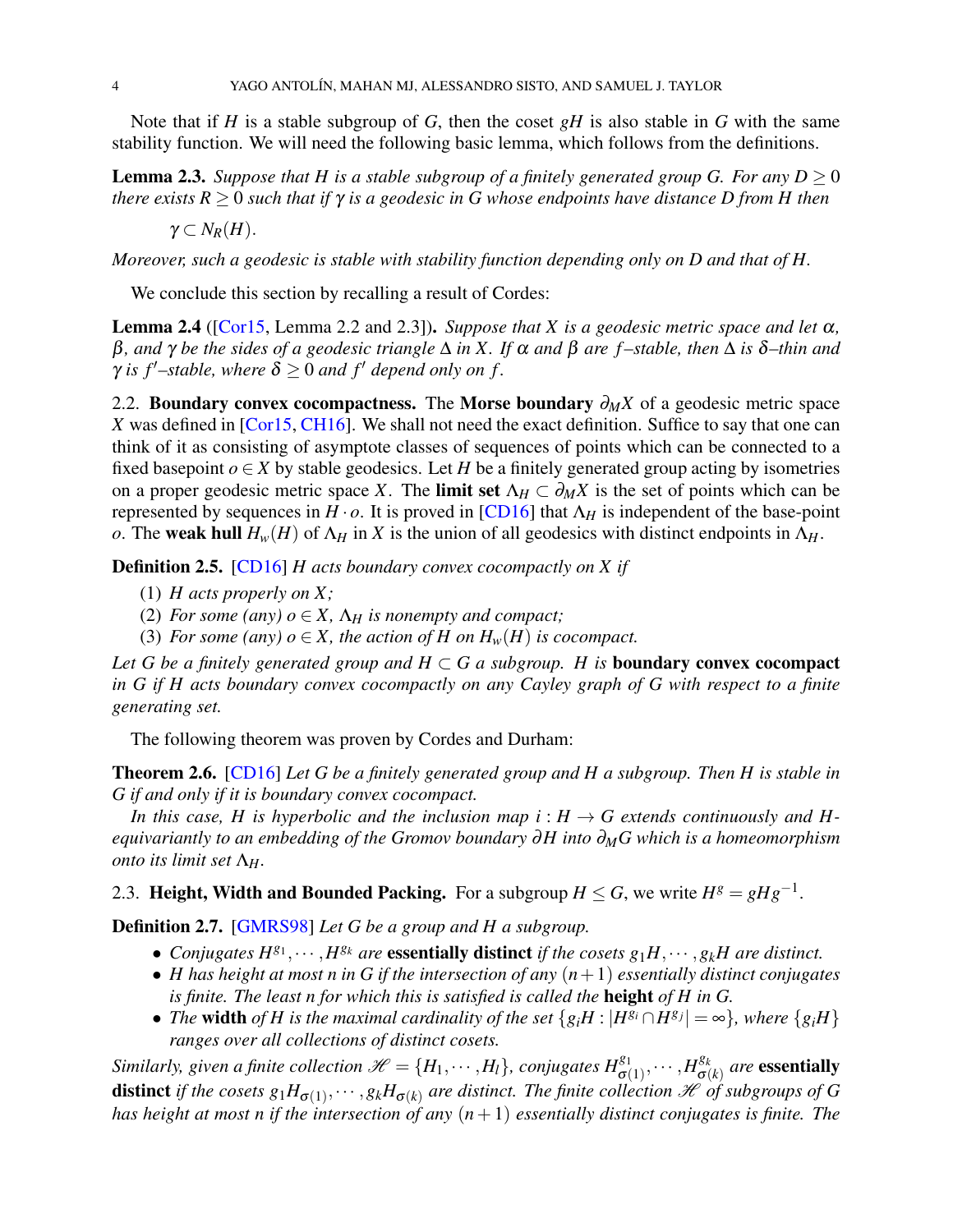Note that if *H* is a stable subgroup of *G*, then the coset  $gH$  is also stable in *G* with the same stability function. We will need the following basic lemma, which follows from the definitions.

<span id="page-3-2"></span>**Lemma 2.3.** Suppose that H is a stable subgroup of a finitely generated group G. For any  $D \ge 0$ *there exists*  $R \geq 0$  *such that if*  $\gamma$  *is a geodesic in G whose endpoints have distance* D from H then

 $\gamma \subset N_R(H)$ .

*Moreover, such a geodesic is stable with stability function depending only on D and that of H.*

We conclude this section by recalling a result of Cordes:

<span id="page-3-3"></span>**Lemma 2.4** ( $[Cor15, Lemma 2.2 and 2.3]$  $[Cor15, Lemma 2.2 and 2.3]$ ). *Suppose that X is a geodesic metric space and let*  $\alpha$ , β*, and* γ *be the sides of a geodesic triangle* ∆ *in X. If* α *and* β *are f –stable, then* ∆ *is* δ*–thin and*  $\gamma$  *is f'*-stable, where  $\delta > 0$  and f' depend only on f.

<span id="page-3-0"></span>2.2. Boundary convex cocompactness. The Morse boundary  $\partial_M X$  of a geodesic metric space *X* was defined in [\[Cor15,](#page-14-21) [CH16\]](#page-14-22). We shall not need the exact definition. Suffice to say that one can think of it as consisting of asymptote classes of sequences of points which can be connected to a fixed basepoint  $o \in X$  by stable geodesics. Let *H* be a finitely generated group acting by isometries on a proper geodesic metric space *X*. The limit set  $\Lambda_H \subset \partial_M X$  is the set of points which can be represented by sequences in  $H \cdot o$ . It is proved in [\[CD16\]](#page-14-8) that  $\Lambda_H$  is independent of the base-point *o*. The weak hull  $H_w(H)$  of  $\Lambda_H$  in *X* is the union of all geodesics with distinct endpoints in  $\Lambda_H$ .

Definition 2.5. [\[CD16\]](#page-14-8) *H acts boundary convex cocompactly on X if*

- (1) *H acts properly on X ;*
- (2) *For some (any)*  $o \in X$ *,*  $\Lambda_H$  *is nonempty and compact;*
- (3) *For some (any) o*  $\in$  *X, the action of H on H<sub><i>w*</sub></sub>(*H*) *is cocompact.*

*Let G be a finitely generated group and*  $H \subset G$  *a subgroup. H is boundary convex cocompact in G if H acts boundary convex cocompactly on any Cayley graph of G with respect to a finite generating set.*

The following theorem was proven by Cordes and Durham:

<span id="page-3-1"></span>Theorem 2.6. [\[CD16\]](#page-14-8) *Let G be a finitely generated group and H a subgroup. Then H is stable in G if and only if it is boundary convex cocompact.*

*In this case, H is hyperbolic and the inclusion map i* :  $H \rightarrow G$  *extends continuously and Hequivariantly to an embedding of the Gromov boundary* ∂*H into* ∂*MG which is a homeomorphism onto its limit set* Λ*H.*

2.3. Height, Width and Bounded Packing. For a subgroup  $H \leq G$ , we write  $H^g = gHg^{-1}$ .

Definition 2.7. [\[GMRS98\]](#page-14-6) *Let G be a group and H a subgroup.*

- *Conjugates*  $H^{g_1}, \dots, H^{g_k}$  *are* **essentially distinct** *if the cosets*  $g_1H, \dots, g_kH$  *are distinct.*
- *H has height at most n in G if the intersection of any* (*n*+1) *essentially distinct conjugates is finite. The least n for which this is satisfied is called the* height *of H in G.*
- *The* width *of H* is the maximal cardinality of the set  $\{g_i H : |H^{g_i} \cap H^{g_j}| = \infty\}$ , where  $\{g_i H\}$ *ranges over all collections of distinct cosets.*

*Similarly, given a finite collection*  $\mathscr{H} = \{H_1, \cdots, H_l\}$ *, conjugates*  $H_{\sigma(1)}^{g_1}, \cdots, H_{\sigma(l)}^{g_k}$  $\sigma(k)$  are **essentially distinct** if the cosets  $g_1H_{\sigma(1)},\cdots,g_kH_{\sigma(k)}$  are distinct. The finite collection  $\mathscr H$  of subgroups of G *has height at most n if the intersection of any* (*n*+1) *essentially distinct conjugates is finite. The*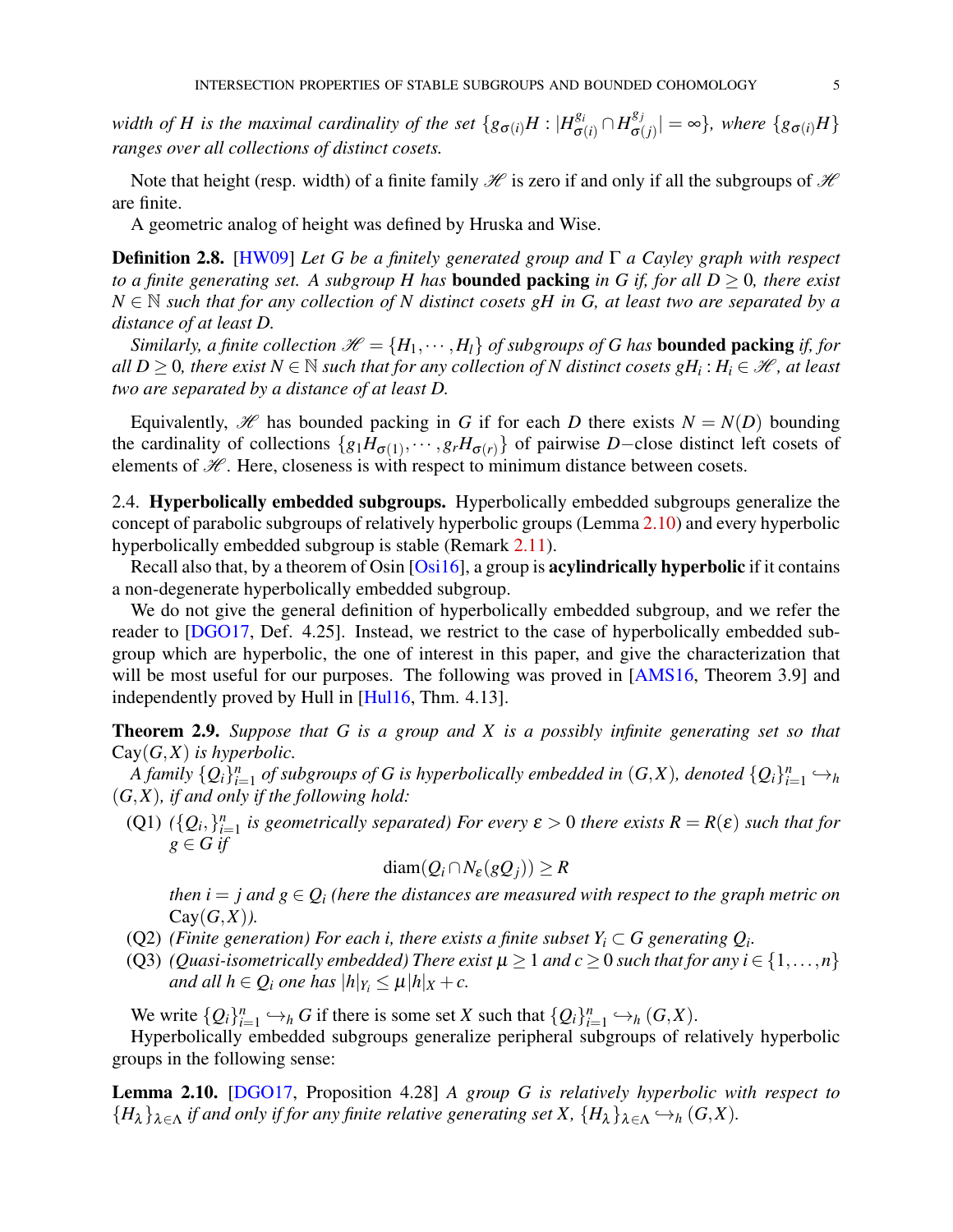*width of H is the maximal cardinality of the set*  $\{g_{\sigma(i)}H : |H_{\sigma(i)}^{\sigma(j)}\}$  $\sigma^{g_i}_{\sigma(i)} \cap H^{g_j}_{\sigma(j)}$  $\sigma(j)$ <sup> $\sigma(j)$ </sup> $=$   $\infty$ }, where  $\{g_{\sigma(i)}H\}$ *ranges over all collections of distinct cosets.*

Note that height (resp. width) of a finite family  $\mathcal H$  is zero if and only if all the subgroups of  $\mathcal H$ are finite.

A geometric analog of height was defined by Hruska and Wise.

Definition 2.8. [\[HW09\]](#page-15-2) *Let G be a finitely generated group and* Γ *a Cayley graph with respect to a finite generating set. A subgroup H has* **bounded packing** *in G if, for all D*  $\geq$  *0, there exist*  $N \in \mathbb{N}$  *such that for any collection of N distinct cosets gH in G, at least two are separated by a distance of at least D.*

*Similarly, a finite collection*  $\mathcal{H} = \{H_1, \dots, H_l\}$  *of subgroups of G has* **bounded packing** *if, for*  $all D \geq 0$ , there exist  $N \in \mathbb{N}$  such that for any collection of N distinct cosets  $gH_i$ :  $H_i \in \mathcal{H}$  , at least *two are separated by a distance of at least D.*

Equivalently,  $\mathcal{H}$  has bounded packing in *G* if for each *D* there exists  $N = N(D)$  bounding the cardinality of collections  $\{g_1H_{\sigma(1)}, \cdots, g_rH_{\sigma(r)}\}$  of pairwise *D*−close distinct left cosets of elements of  $H$ . Here, closeness is with respect to minimum distance between cosets.

2.4. **Hyperbolically embedded subgroups.** Hyperbolically embedded subgroups generalize the concept of parabolic subgroups of relatively hyperbolic groups (Lemma [2.10\)](#page-4-0) and every hyperbolic hyperbolically embedded subgroup is stable (Remark [2.11\)](#page-5-0).

Recall also that, by a theorem of Osin [\[Osi16\]](#page-15-9), a group is **acylindrically hyperbolic** if it contains a non-degenerate hyperbolically embedded subgroup.

We do not give the general definition of hyperbolically embedded subgroup, and we refer the reader to [\[DGO17,](#page-14-11) Def. 4.25]. Instead, we restrict to the case of hyperbolically embedded subgroup which are hyperbolic, the one of interest in this paper, and give the characterization that will be most useful for our purposes. The following was proved in [\[AMS16,](#page-14-23) Theorem 3.9] and independently proved by Hull in [\[Hul16,](#page-15-10) Thm. 4.13].

<span id="page-4-1"></span>Theorem 2.9. *Suppose that G is a group and X is a possibly infinite generating set so that* Cay(*G*,*X*) *is hyperbolic.*

*A* family  $\{Q_i\}_{i=1}^n$  of subgroups of G is hyperbolically embedded in  $(G,X)$ , denoted  $\{Q_i\}_{i=1}^n \hookrightarrow_h$ (*G*,*X*)*, if and only if the following hold:*

(Q1)  $(\{Q_i\}_{i=1}^n)$  is geometrically separated) For every  $\varepsilon > 0$  there exists  $R = R(\varepsilon)$  such that for  $g \in G$  *if* 

$$
\text{diam}(Q_i \cap N_{\varepsilon}(gQ_j)) \geq R
$$

*then i* = *j* and  $g \in Q_i$  (here the distances are measured with respect to the graph metric on  $Cay(G,X)$ .

- (Q2) *(Finite generation) For each i, there exists a finite subset*  $Y_i \subset G$  *generating*  $Q_i$ *.*
- (Q3) *(Quasi-isometrically embedded) There exist*  $\mu \ge 1$  *and c*  $\ge 0$  *such that for any i*  $\in \{1, ..., n\}$ *and all*  $h \in Q_i$  *one has*  $|h|_{Y_i} \leq \mu |h|_X + c$ .

We write  ${Q_i}_{i=1}^n \hookrightarrow_h G$  if there is some set *X* such that  ${Q_i}_{i=1}^n \hookrightarrow_h (G,X)$ .

Hyperbolically embedded subgroups generalize peripheral subgroups of relatively hyperbolic groups in the following sense:

<span id="page-4-0"></span>Lemma 2.10. [\[DGO17,](#page-14-11) Proposition 4.28] *A group G is relatively hyperbolic with respect to*  ${H_{\lambda}}_{\lambda \in \Lambda}$  *if and only if for any finite relative generating set X,*  ${H_{\lambda}}_{\lambda \in \Lambda} \hookrightarrow_h (G,X)$ *.*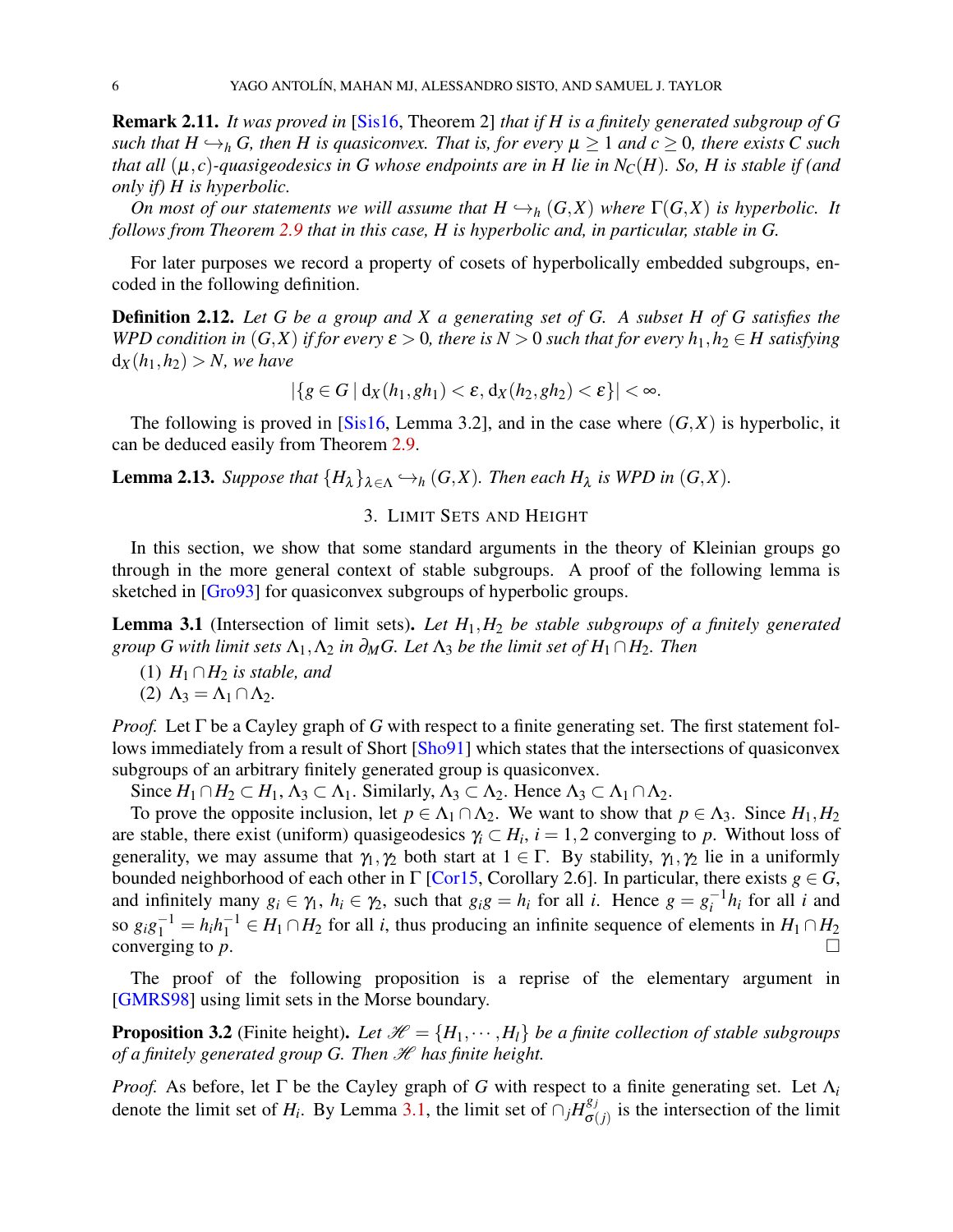<span id="page-5-0"></span>Remark 2.11. *It was proved in* [\[Sis16,](#page-15-4) Theorem 2] *that if H is a finitely generated subgroup of G such that H*  $\hookrightarrow$ *<sub>h</sub> G, then H is quasiconvex. That is, for every*  $\mu \ge 1$  *and c*  $\ge 0$ *, there exists C such that all*  $(\mu, c)$ -quasigeodesics in G whose endpoints are in H lie in N<sub>C</sub>(*H*). So, *H* is stable if (and *only if) H is hyperbolic.*

*On most of our statements we will assume that*  $H \hookrightarrow_h (G,X)$  *where*  $\Gamma(G,X)$  *is hyperbolic. It follows from Theorem [2.9](#page-4-1) that in this case, H is hyperbolic and, in particular, stable in G.*

For later purposes we record a property of cosets of hyperbolically embedded subgroups, encoded in the following definition.

<span id="page-5-3"></span>Definition 2.12. *Let G be a group and X a generating set of G. A subset H of G satisfies the WPD condition in*  $(G,X)$  *if for every*  $\varepsilon > 0$ *, there is*  $N > 0$  *such that for every*  $h_1, h_2 \in H$  *satisfying*  $d_X(h_1, h_2) > N$ , we have

$$
|\{g\in G \mid d_X(h_1,gh_1)<\varepsilon, d_X(h_2,gh_2)<\varepsilon\}|<\infty.
$$

The following is proved in [\[Sis16,](#page-15-4) Lemma 3.2], and in the case where  $(G, X)$  is hyperbolic, it can be deduced easily from Theorem [2.9.](#page-4-1)

**Lemma 2.13.** Suppose that  $\{H_{\lambda}\}_{\lambda \in \Lambda} \hookrightarrow_h (G,X)$ . Then each  $H_{\lambda}$  is WPD in  $(G,X)$ .

# 3. LIMIT SETS AND HEIGHT

In this section, we show that some standard arguments in the theory of Kleinian groups go through in the more general context of stable subgroups. A proof of the following lemma is sketched in [\[Gro93\]](#page-14-24) for quasiconvex subgroups of hyperbolic groups.

<span id="page-5-1"></span>Lemma 3.1 (Intersection of limit sets). *Let H*1,*H*<sup>2</sup> *be stable subgroups of a finitely generated group G with limit sets*  $\Lambda_1, \Lambda_2$  *in*  $\partial_M G$ *. Let*  $\Lambda_3$  *be the limit set of*  $H_1 \cap H_2$ *. Then* 

- (1)  $H_1 \cap H_2$  *is stable, and*
- (2)  $\Lambda_3 = \Lambda_1 \cap \Lambda_2$ .

*Proof.* Let Γ be a Cayley graph of *G* with respect to a finite generating set. The first statement fol-lows immediately from a result of Short [\[Sho91\]](#page-15-11) which states that the intersections of quasiconvex subgroups of an arbitrary finitely generated group is quasiconvex.

Since  $H_1 \cap H_2 \subset H_1$ ,  $\Lambda_3 \subset \Lambda_1$ . Similarly,  $\Lambda_3 \subset \Lambda_2$ . Hence  $\Lambda_3 \subset \Lambda_1 \cap \Lambda_2$ .

To prove the opposite inclusion, let  $p \in \Lambda_1 \cap \Lambda_2$ . We want to show that  $p \in \Lambda_3$ . Since  $H_1, H_2$ are stable, there exist (uniform) quasigeodesics  $\gamma_i \subset H_i$ ,  $i = 1,2$  converging to p. Without loss of generality, we may assume that  $\gamma_1, \gamma_2$  both start at  $1 \in \Gamma$ . By stability,  $\gamma_1, \gamma_2$  lie in a uniformly bounded neighborhood of each other in  $\Gamma$  [\[Cor15,](#page-14-21) Corollary 2.6]. In particular, there exists  $g \in G$ , and infinitely many  $g_i \in \gamma_1$ ,  $h_i \in \gamma_2$ , such that  $g_i g = h_i$  for all *i*. Hence  $g = g_i^{-1}$  $i^{-1}h_i$  for all *i* and so  $g_i g_1^{-1} = h_i h_1^{-1} \in H_1 \cap H_2$  for all *i*, thus producing an infinite sequence of elements in  $H_1 \cap H_2$ converging to  $p$ .

The proof of the following proposition is a reprise of the elementary argument in [\[GMRS98\]](#page-14-6) using limit sets in the Morse boundary.

<span id="page-5-2"></span>**Proposition 3.2** (Finite height). Let  $\mathcal{H} = \{H_1, \dots, H_l\}$  be a finite collection of stable subgroups *of a finitely generated group G. Then*  $\mathcal H$  *has finite height.* 

*Proof.* As before, let Γ be the Cayley graph of *G* with respect to a finite generating set. Let Λ*<sup>i</sup>* denote the limit set of *H<sub>i</sub>*. By Lemma [3.1,](#page-5-1) the limit set of  $\bigcap_j H_{\sigma}^{g_j}$  $\sigma(j)$  is the intersection of the limit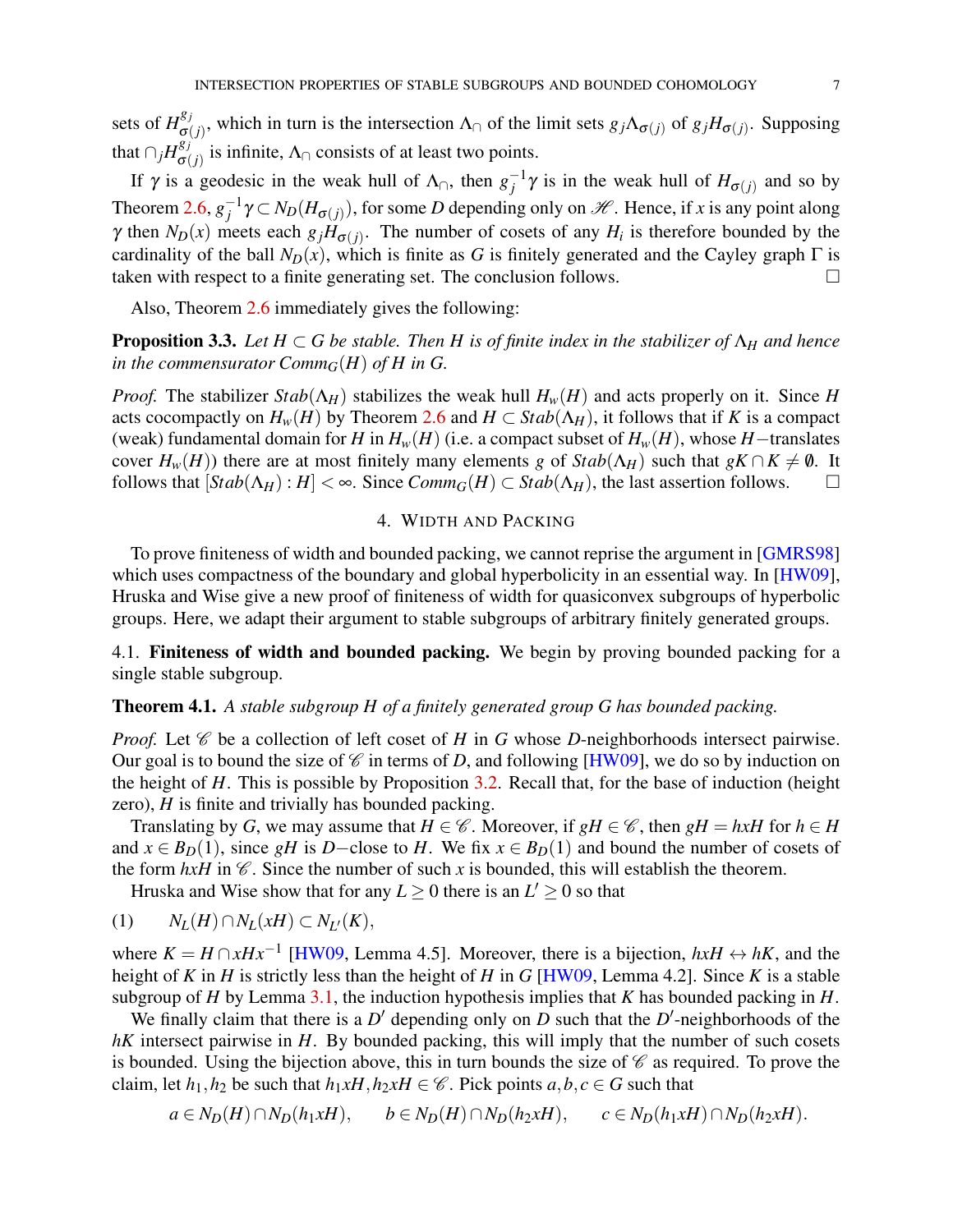sets of  $H_{\sigma}^{g_j}$ σ(*j*) , which in turn is the intersection Λ<sup>∩</sup> of the limit sets *gj*Λσ(*j*) of *gjH*σ(*j*) . Supposing that  $\cap_j H_{\sigma(j)}^{g_j}$  $\sigma(j)$  is infinite,  $\Lambda_{\cap}$  consists of at least two points.

If γ is a geodesic in the weak hull of  $Λ_{\cap}$ , then  $g_i^{-1}$  $j^{-1}$ γ is in the weak hull of  $H_{\sigma(j)}$  and so by Theorem [2.6,](#page-3-1)  $g_i^{-1}$  $j^{-1}\gamma$  ⊂ *N<sub>D</sub>*( $H_{\sigma(j)}$ ), for some *D* depending only on  $\mathscr{H}$ . Hence, if *x* is any point along  $\gamma$  then  $N_D(x)$  meets each  $g_j H_{\sigma(j)}$ . The number of cosets of any  $H_i$  is therefore bounded by the cardinality of the ball  $N_D(x)$ , which is finite as *G* is finitely generated and the Cayley graph  $\Gamma$  is taken with respect to a finite generating set. The conclusion follows.

Also, Theorem [2.6](#page-3-1) immediately gives the following:

**Proposition 3.3.** Let  $H \subset G$  be stable. Then H is of finite index in the stabilizer of  $\Lambda_H$  and hence *in the commensurator Comm* $_G(H)$  *of H in G.* 

*Proof.* The stabilizer *Stab*( $\Lambda$ *H*) stabilizes the weak hull  $H$ <sup>*w*</sup>(*H*) and acts properly on it. Since *H* acts cocompactly on  $H_w(H)$  by Theorem [2.6](#page-3-1) and  $H \subset Stab(\Lambda_H)$ , it follows that if *K* is a compact (weak) fundamental domain for *H* in  $H_w(H)$  (i.e. a compact subset of  $H_w(H)$ , whose *H*−translates cover  $H_w(H)$ ) there are at most finitely many elements *g* of  $Stab(\Lambda_H)$  such that  $gK \cap K \neq \emptyset$ . It follows that  $[Stab(\Lambda_H):H] < \infty$ . Since  $Comm_G(H) \subset Stab(\Lambda_H)$ , the last assertion follows.  $\square$ 

## 4. WIDTH AND PACKING

To prove finiteness of width and bounded packing, we cannot reprise the argument in [\[GMRS98\]](#page-14-6) which uses compactness of the boundary and global hyperbolicity in an essential way. In [\[HW09\]](#page-15-2), Hruska and Wise give a new proof of finiteness of width for quasiconvex subgroups of hyperbolic groups. Here, we adapt their argument to stable subgroups of arbitrary finitely generated groups.

4.1. Finiteness of width and bounded packing. We begin by proving bounded packing for a single stable subgroup.

## <span id="page-6-1"></span>Theorem 4.1. *A stable subgroup H of a finitely generated group G has bounded packing.*

*Proof.* Let  $\mathscr C$  be a collection of left coset of *H* in *G* whose *D*-neighborhoods intersect pairwise. Our goal is to bound the size of  $\mathscr C$  in terms of *D*, and following [\[HW09\]](#page-15-2), we do so by induction on the height of *H*. This is possible by Proposition [3.2.](#page-5-2) Recall that, for the base of induction (height zero), *H* is finite and trivially has bounded packing.

Translating by *G*, we may assume that  $H \in \mathscr{C}$ . Moreover, if  $gH \in \mathscr{C}$ , then  $gH = hxH$  for  $h \in H$ and  $x \in B_D(1)$ , since *gH* is *D*−close to *H*. We fix  $x \in B_D(1)$  and bound the number of cosets of the form  $hxH$  in  $\mathcal C$ . Since the number of such *x* is bounded, this will establish the theorem.

Hruska and Wise show that for any  $L \geq 0$  there is an  $L' \geq 0$  so that

<span id="page-6-0"></span>
$$
(1) \qquad N_L(H) \cap N_L(xH) \subset N_{L'}(K),
$$

where  $K = H \cap xHx^{-1}$  [\[HW09,](#page-15-2) Lemma 4.5]. Moreover, there is a bijection,  $hxH \leftrightarrow hK$ , and the height of *K* in *H* is strictly less than the height of *H* in *G* [\[HW09,](#page-15-2) Lemma 4.2]. Since *K* is a stable subgroup of *H* by Lemma [3.1,](#page-5-1) the induction hypothesis implies that *K* has bounded packing in *H*.

We finally claim that there is a  $D'$  depending only on  $D$  such that the  $D'$ -neighborhoods of the *hK* intersect pairwise in *H*. By bounded packing, this will imply that the number of such cosets is bounded. Using the bijection above, this in turn bounds the size of  $\mathscr C$  as required. To prove the claim, let  $h_1, h_2$  be such that  $h_1xH, h_2xH \in \mathcal{C}$ . Pick points  $a, b, c \in G$  such that

$$
a \in N_D(H) \cap N_D(h_1xH), \qquad b \in N_D(H) \cap N_D(h_2xH), \qquad c \in N_D(h_1xH) \cap N_D(h_2xH).
$$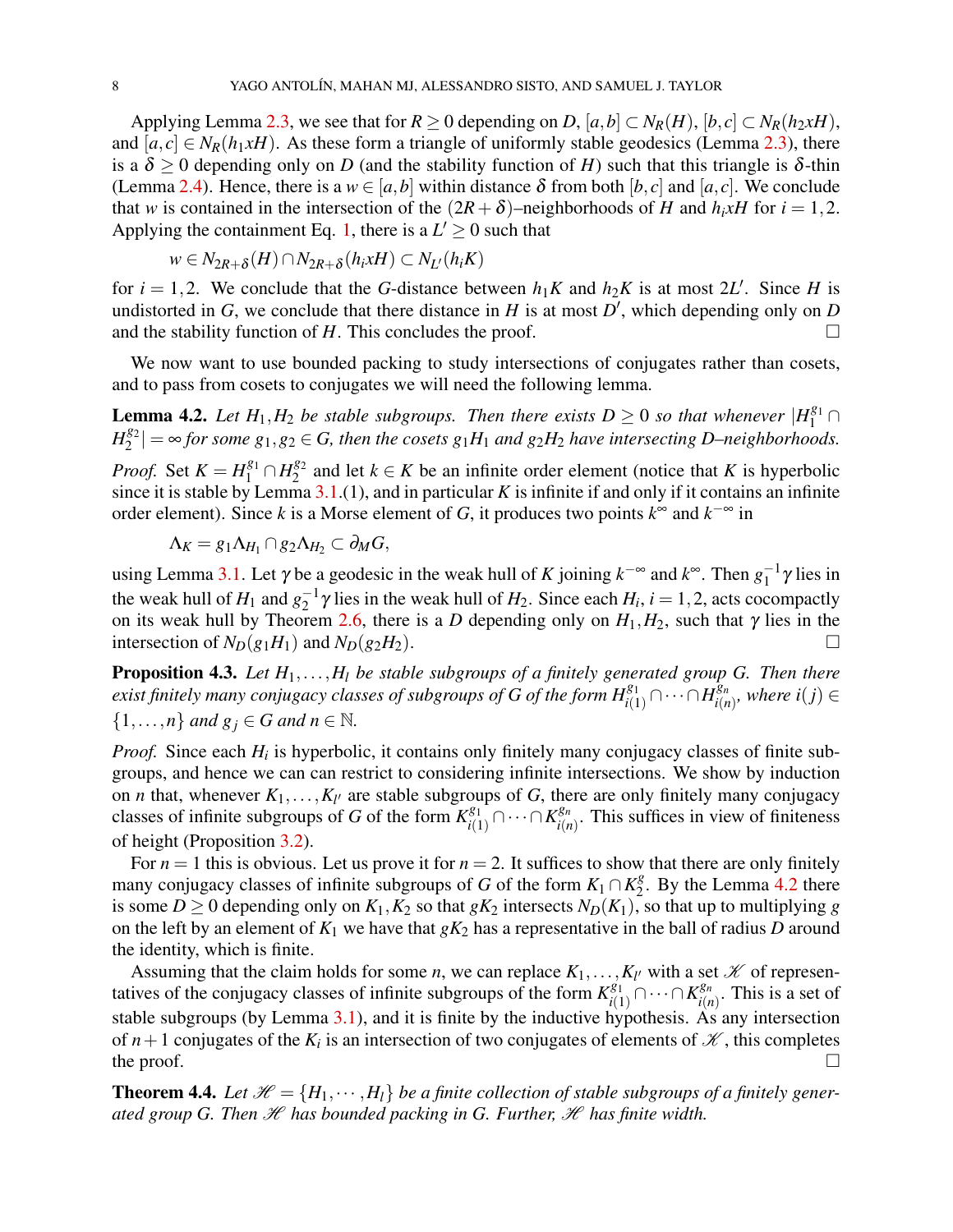Applying Lemma [2.3,](#page-3-2) we see that for  $R > 0$  depending on  $D$ ,  $[a,b] \subset N_R(H)$ ,  $[b,c] \subset N_R(h_2 xH)$ , and  $[a, c] \in N_R(h_1 x H)$ . As these form a triangle of uniformly stable geodesics (Lemma [2.3\)](#page-3-2), there is a  $\delta > 0$  depending only on *D* (and the stability function of *H*) such that this triangle is  $\delta$ -thin (Lemma [2.4\)](#page-3-3). Hence, there is a  $w \in [a, b]$  within distance  $\delta$  from both  $[b, c]$  and  $[a, c]$ . We conclude that *w* is contained in the intersection of the  $(2R+\delta)$ –neighborhoods of *H* and  $h_i xH$  for  $i = 1, 2$ . Applying the containment Eq. [1,](#page-6-0) there is a  $L' \geq 0$  such that

$$
w \in N_{2R+\delta}(H) \cap N_{2R+\delta}(h_i x H) \subset N_{L'}(h_i K)
$$

for  $i = 1, 2$ . We conclude that the *G*-distance between  $h_1 K$  and  $h_2 K$  is at most  $2L'$ . Since *H* is undistorted in  $G$ , we conclude that there distance in  $H$  is at most  $D'$ , which depending only on  $D$ and the stability function of *H*. This concludes the proof.  $\Box$ 

We now want to use bounded packing to study intersections of conjugates rather than cosets, and to pass from cosets to conjugates we will need the following lemma.

<span id="page-7-0"></span>**Lemma 4.2.** Let  $H_1, H_2$  be stable subgroups. Then there exists  $D \geq 0$  so that whenever  $|H_1^{g_1} \cap$  $H_2^{g_2}$  $|S_2^{g_2}| = \infty$  *for some*  $g_1, g_2 \in G$ , then the cosets  $g_1H_1$  *and*  $g_2H_2$  *have intersecting D–neighborhoods.* 

*Proof.* Set  $K = H_1^{g_1} \cap H_2^{g_2}$  $2^{g_2}$  and let  $k \in K$  be an infinite order element (notice that K is hyperbolic since it is stable by Lemma  $3.1(1)$ , and in particular *K* is infinite if and only if it contains an infinite order element). Since *k* is a Morse element of *G*, it produces two points  $k^{\infty}$  and  $k^{-\infty}$  in

$$
\Lambda_K = g_1 \Lambda_{H_1} \cap g_2 \Lambda_{H_2} \subset \partial_M G,
$$

using Lemma [3.1.](#page-5-1) Let γ be a geodesic in the weak hull of *K* joining  $k^{-∞}$  and  $k^∞$ . Then  $g_1^{-1}$  $1^{-1}\gamma$  lies in the weak hull of  $H_1$  and  $g_2^{-1}$  $\frac{1}{2}$ <sup>1</sup> $\gamma$  lies in the weak hull of  $H_2$ . Since each  $H_i$ ,  $i = 1, 2$ , acts cocompactly on its weak hull by Theorem [2.6,](#page-3-1) there is a *D* depending only on  $H_1$ ,  $H_2$ , such that  $\gamma$  lies in the intersection of  $N_D(g_1H_1)$  and  $N_D(g_2H_2)$ .

<span id="page-7-1"></span>Proposition 4.3. Let  $H_1, \ldots, H_l$  be stable subgroups of a finitely generated group G. Then there *exist finitely many conjugacy classes of subgroups of*  $G$  *of the form*  $H^{g_1}_{i(1)}\cap\cdots\cap H^{g_n}_{i(n)}$  $\sum_{i(n)}^{g_n}$ , where  $i(j) \in$  $\{1,\ldots,n\}$  and  $g_j \in G$  and  $n \in \mathbb{N}$ .

*Proof.* Since each  $H_i$  is hyperbolic, it contains only finitely many conjugacy classes of finite subgroups, and hence we can can restrict to considering infinite intersections. We show by induction on *n* that, whenever  $K_1, \ldots, K_{l'}$  are stable subgroups of *G*, there are only finitely many conjugacy classes of infinite subgroups of *G* of the form  $K_{i,j}^{g_1}$  $\overline{R}^{g_1}_{i(1)} \cap \cdots \cap \overline{K}^{g_n}_{i(n)}$  $\frac{g_n}{i(n)}$ . This suffices in view of finiteness of height (Proposition [3.2\)](#page-5-2).

For  $n = 1$  this is obvious. Let us prove it for  $n = 2$ . It suffices to show that there are only finitely many conjugacy classes of infinite subgroups of *G* of the form  $K_1 \cap K_2^g$  $2^8$ . By the Lemma [4.2](#page-7-0) there is some  $D \ge 0$  depending only on  $K_1, K_2$  so that  $gK_2$  intersects  $N_D(K_1)$ , so that up to multiplying *g* on the left by an element of  $K_1$  we have that  $gK_2$  has a representative in the ball of radius *D* around the identity, which is finite.

Assuming that the claim holds for some *n*, we can replace  $K_1, \ldots, K_{l'}$  with a set  $K$  of representatives of the conjugacy classes of infinite subgroups of the form  $K_{i,j}^{g_1}$  $\overline{R}^{g_1}_{i(1)} \cap \cdots \cap K^{g_n}_{i(n)}$  $\frac{3n}{i(n)}$ . This is a set of stable subgroups (by Lemma  $3.1$ ), and it is finite by the inductive hypothesis. As any intersection of  $n+1$  conjugates of the  $K_i$  is an intersection of two conjugates of elements of  $\mathscr K$ , this completes the proof.  $\Box$ 

<span id="page-7-2"></span>**Theorem 4.4.** Let  $\mathcal{H} = \{H_1, \dots, H_l\}$  be a finite collection of stable subgroups of a finitely gener*ated group G. Then*  $H$  *has bounded packing in G. Further,*  $H$  *has finite width.*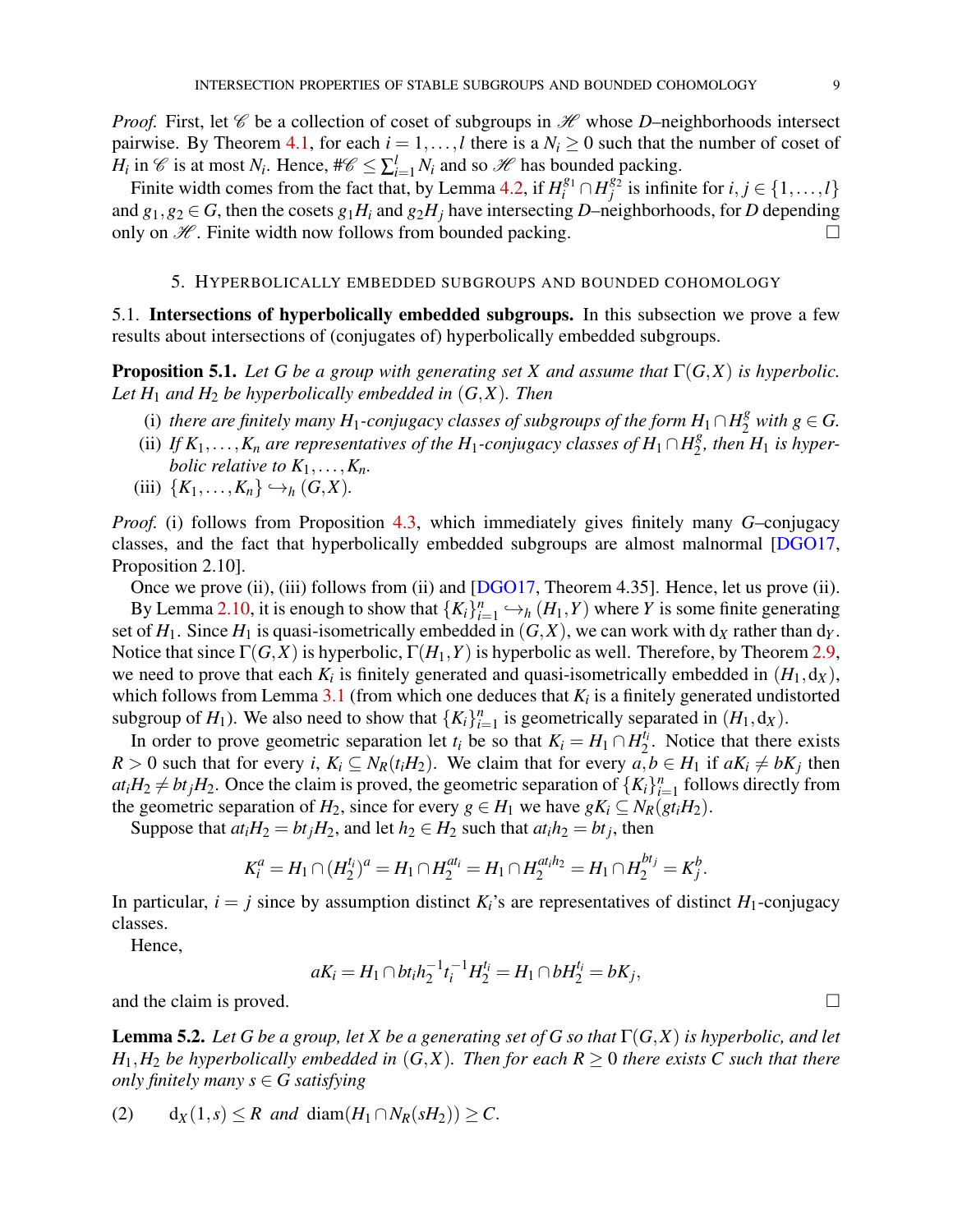*Proof.* First, let  $\mathscr C$  be a collection of coset of subgroups in  $\mathscr H$  whose *D*–neighborhoods intersect pairwise. By Theorem [4.1,](#page-6-1) for each  $i = 1, ..., l$  there is a  $N_i \geq 0$  such that the number of coset of *H<sub>i</sub>* in  $\mathscr C$  is at most *N<sub>i</sub>*. Hence,  $\#\mathscr C \leq \sum_{i=1}^l N_i$  and so  $\mathscr H$  has bounded packing.

Finite width comes from the fact that, by Lemma [4.2,](#page-7-0) if  $H_i^{g_1} \cap H_j^{g_2}$  $j_j^g$  is infinite for  $i, j \in \{1, ..., l\}$ and  $g_1, g_2 \in G$ , then the cosets  $g_1 H_i$  and  $g_2 H_j$  have intersecting *D*–neighborhoods, for *D* depending only on  $\mathcal H$ . Finite width now follows from bounded packing.

### 5. HYPERBOLICALLY EMBEDDED SUBGROUPS AND BOUNDED COHOMOLOGY

5.1. Intersections of hyperbolically embedded subgroups. In this subsection we prove a few results about intersections of (conjugates of) hyperbolically embedded subgroups.

<span id="page-8-0"></span>**Proposition 5.1.** Let G be a group with generating set X and assume that  $\Gamma(G,X)$  is hyperbolic. Let  $H_1$  *and*  $H_2$  *be hyperbolically embedded in*  $(G,X)$ *. Then* 

- (i) *there are finitely many*  $H_1$ -conjugacy classes of subgroups of the form  $H_1 \cap H_2^g$  with  $g \in G$ .
- (ii) *If*  $K_1, \ldots, K_n$  are representatives of the  $H_1$ -conjugacy classes of  $H_1 \cap H_2^g$  $2^8$ , then  $H_1$  is hyper*bolic relative to*  $K_1, \ldots, K_n$ *.*
- (iii)  $\{K_1,\ldots,K_n\} \hookrightarrow_h (G,X)$ .

*Proof.* (i) follows from Proposition [4.3,](#page-7-1) which immediately gives finitely many *G*–conjugacy classes, and the fact that hyperbolically embedded subgroups are almost malnormal [\[DGO17,](#page-14-11) Proposition 2.10].

Once we prove (ii), (iii) follows from (ii) and [\[DGO17,](#page-14-11) Theorem 4.35]. Hence, let us prove (ii). By Lemma [2.10,](#page-4-0) it is enough to show that  $\{K_i\}_{i=1}^n \hookrightarrow_h (H_1, Y)$  where *Y* is some finite generating set of  $H_1$ . Since  $H_1$  is quasi-isometrically embedded in  $(G, X)$ , we can work with  $d_X$  rather than  $d_Y$ . Notice that since  $\Gamma(G, X)$  is hyperbolic,  $\Gamma(H_1, Y)$  is hyperbolic as well. Therefore, by Theorem [2.9,](#page-4-1)

we need to prove that each  $K_i$  is finitely generated and quasi-isometrically embedded in  $(H_1, d_X)$ , which follows from Lemma  $3.1$  (from which one deduces that  $K_i$  is a finitely generated undistorted subgroup of  $H_1$ ). We also need to show that  $\{K_i\}_{i=1}^n$  is geometrically separated in  $(H_1, d_X)$ .

In order to prove geometric separation let  $t_i$  be so that  $K_i = H_1 \cap H_2^{t_i}$  $2<sup>t<sub>i</sub></sup>$ . Notice that there exists  $R > 0$  such that for every *i*,  $K_i \subseteq N_R(t_i H_2)$ . We claim that for every  $a, b \in H_1$  if  $aK_i \neq bK_j$  then  $a t_i H_2 \neq b t_j H_2$ . Once the claim is proved, the geometric separation of  $\{K_i\}_{i=1}^n$  follows directly from the geometric separation of  $H_2$ , since for every  $g \in H_1$  we have  $gK_i \subseteq N_R(gt_iH_2)$ .

Suppose that  $at_iH_2 = bt_jH_2$ , and let  $h_2 \in H_2$  such that  $at_ih_2 = bt_j$ , then

$$
K_i^a = H_1 \cap (H_2^{t_i})^a = H_1 \cap H_2^{at_i} = H_1 \cap H_2^{at_ih_2} = H_1 \cap H_2^{bt_j} = K_j^b.
$$

In particular,  $i = j$  since by assumption distinct  $K_i$ 's are representatives of distinct  $H_1$ -conjugacy classes.

Hence,

$$
aK_i = H_1 \cap bt_ih_2^{-1}t_i^{-1}H_2^{t_i} = H_1 \cap bH_2^{t_i} = bK_j,
$$

and the claim is proved.

<span id="page-8-1"></span>**Lemma 5.2.** Let G be a group, let X be a generating set of G so that  $\Gamma(G,X)$  is hyperbolic, and let *H*<sub>1</sub>, *H*<sub>2</sub> *be hyperbolically embedded in*  $(G,X)$ *. Then for each R*  $\geq$  0 *there exists C such that there only finitely many*  $s \in G$  *satisfying* 

(2)  $d_X(1,s) \le R$  *and*  $diam(H_1 \cap N_R(sH_2)) \ge C$ .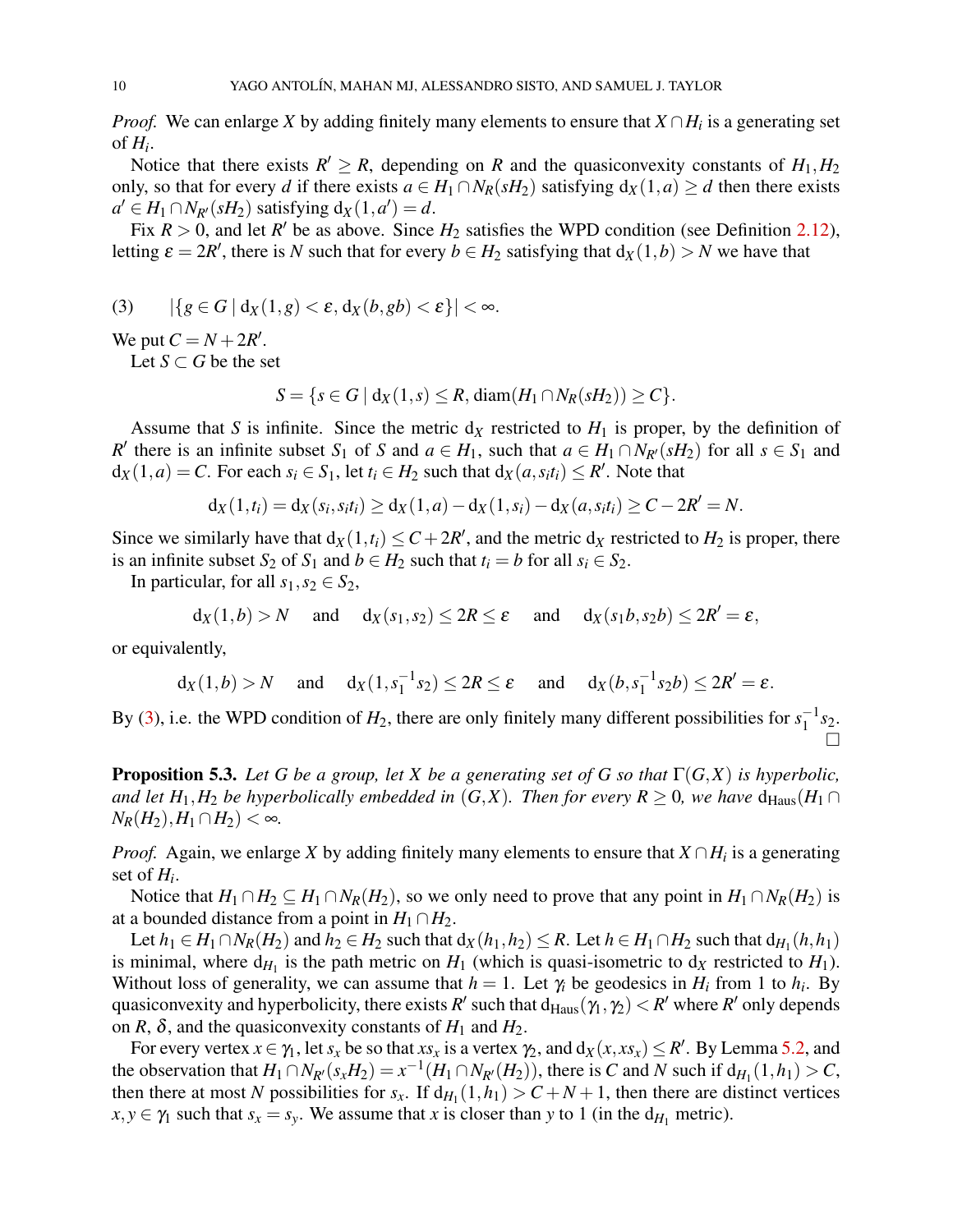*Proof.* We can enlarge *X* by adding finitely many elements to ensure that  $X \cap H_i$  is a generating set of  $H_i$ .

Notice that there exists  $R' \ge R$ , depending on R and the quasiconvexity constants of  $H_1, H_2$ only, so that for every *d* if there exists  $a \in H_1 \cap N_R(sH_2)$  satisfying  $d_X(1,a) \ge d$  then there exists  $a' \in H_1 \cap N_{R'}(sH_2)$  satisfying  $d_X(1, a') = d$ .

Fix  $R > 0$ , and let R' be as above. Since  $H_2$  satisfies the WPD condition (see Definition [2.12\)](#page-5-3), letting  $\varepsilon = 2R'$ , there is *N* such that for every  $b \in H_2$  satisfying that  $d_X(1,b) > N$  we have that

<span id="page-9-0"></span>
$$
(3) \qquad |\{g \in G \mid d_X(1,g) < \varepsilon, d_X(b,gb) < \varepsilon\}| < \infty.
$$

We put  $C = N + 2R'$ .

Let  $S \subset G$  be the set

$$
S = \{ s \in G \mid d_X(1, s) \le R, \text{diam}(H_1 \cap N_R(sH_2)) \ge C \}.
$$

Assume that *S* is infinite. Since the metric  $d_X$  restricted to  $H_1$  is proper, by the definition of *R*<sup> $\prime$ </sup> there is an infinite subset *S*<sub>1</sub> of *S* and *a* ∈ *H*<sub>1</sub>, such that *a* ∈ *H*<sub>1</sub> ∩ *N*<sub>*R*<sup> $\prime$ </sup>(*sH*<sub>2</sub>) for all *s* ∈ *S*<sub>1</sub> and</sub>  $d_X(1,a) = C$ . For each  $s_i \in S_1$ , let  $t_i \in H_2$  such that  $d_X(a, s_it_i) \le R'$ . Note that

$$
d_X(1,t_i) = d_X(s_i,s_it_i) \ge d_X(1,a) - d_X(1,s_i) - d_X(a,s_it_i) \ge C - 2R' = N.
$$

Since we similarly have that  $d_X(1,t_i) \leq C + 2R'$ , and the metric  $d_X$  restricted to  $H_2$  is proper, there is an infinite subset *S*<sub>2</sub> of *S*<sub>1</sub> and *b*  $\in$  *H*<sub>2</sub> such that *t*<sub>*i*</sub> = *b* for all *s*<sub>*i*</sub>  $\in$  *S*<sub>2</sub>.

In particular, for all  $s_1, s_2 \in S_2$ ,

$$
d_X(1,b) > N
$$
 and  $d_X(s_1,s_2) \le 2R \le \varepsilon$  and  $d_X(s_1b,s_2b) \le 2R' = \varepsilon$ ,

or equivalently,

$$
d_X(1,b) > N
$$
 and  $d_X(1,s_1^{-1}s_2) \le 2R \le \varepsilon$  and  $d_X(b,s_1^{-1}s_2b) \le 2R' = \varepsilon$ .

By [\(3\)](#page-9-0), i.e. the WPD condition of  $H_2$ , there are only finitely many different possibilities for  $s_1^{-1}$  $\frac{-1}{1}$ *s*<sub>2</sub>.  $\bar{\Box}$ 

<span id="page-9-1"></span>**Proposition 5.3.** Let G be a group, let X be a generating set of G so that  $\Gamma(G,X)$  is hyperbolic, *and let*  $H_1, H_2$  *be hyperbolically embedded in*  $(G, X)$ *. Then for every*  $R \geq 0$ *, we have*  $d_{Haus}(H_1 \cap$ *N<sub>R</sub>*(*H*<sub>2</sub>), *H*<sub>1</sub> ∩ *H*<sub>2</sub>) < ∞.

*Proof.* Again, we enlarge *X* by adding finitely many elements to ensure that  $X \cap H_i$  is a generating set of *H<sup>i</sup>* .

Notice that  $H_1 \cap H_2 \subseteq H_1 \cap N_R(H_2)$ , so we only need to prove that any point in  $H_1 \cap N_R(H_2)$  is at a bounded distance from a point in  $H_1 \cap H_2$ .

Let  $h_1 \in H_1 \cap N_R(H_2)$  and  $h_2 \in H_2$  such that  $d_X(h_1, h_2) \le R$ . Let  $h \in H_1 \cap H_2$  such that  $d_{H_1}(h, h_1)$ is minimal, where  $d_{H_1}$  is the path metric on  $H_1$  (which is quasi-isometric to  $d_X$  restricted to  $H_1$ ). Without loss of generality, we can assume that  $h = 1$ . Let  $\gamma_i$  be geodesics in  $H_i$  from 1 to  $h_i$ . By quasiconvexity and hyperbolicity, there exists  $R'$  such that  $d_{\text{Haus}}(\gamma_1, \gamma_2) < R'$  where  $R'$  only depends on *R*,  $\delta$ , and the quasiconvexity constants of  $H_1$  and  $H_2$ .

For every vertex  $x \in \gamma_1$ , let  $s_x$  be so that  $xs_x$  is a vertex  $\gamma_2$ , and  $d_X(x, xs_x) \le R'$ . By Lemma [5.2,](#page-8-1) and the observation that  $H_1 \cap N_{R'}(s_x H_2) = x^{-1}(H_1 \cap N_{R'}(H_2))$ , there is *C* and *N* such if  $d_{H_1}(1, h_1) > C$ , then there at most *N* possibilities for  $s_x$ . If  $d_{H_1}(1, h_1) > C + N + 1$ , then there are distinct vertices  $x, y \in \gamma_1$  such that  $s_x = s_y$ . We assume that *x* is closer than *y* to 1 (in the  $d_{H_1}$  metric).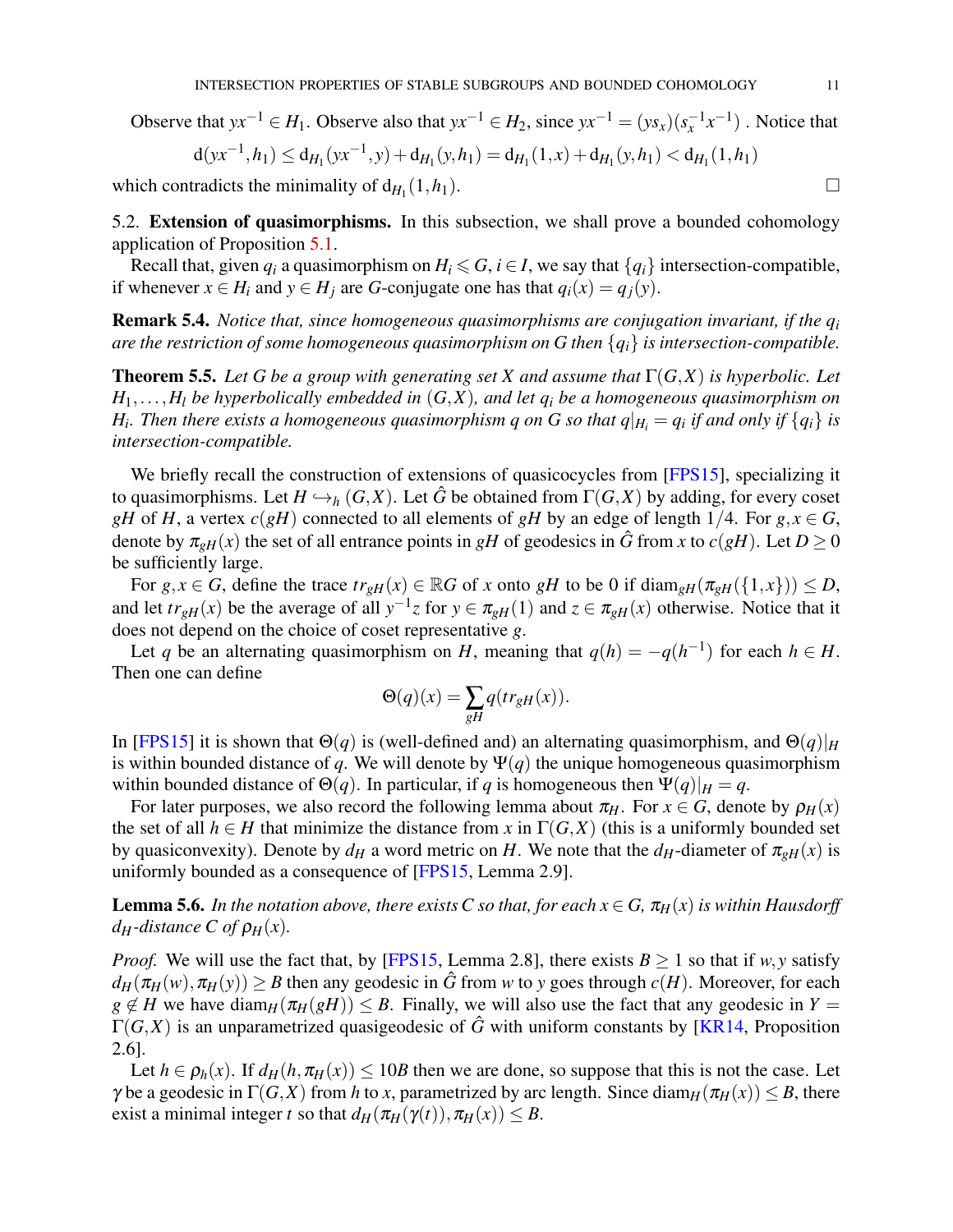Observe that  $yx^{-1} \in H_1$ . Observe also that  $yx^{-1} \in H_2$ , since  $yx^{-1} = (ys_x)(s_x^{-1}x^{-1})$ . Notice that

$$
d(yx^{-1},h_1) \le d_{H_1}(yx^{-1},y) + d_{H_1}(y,h_1) = d_{H_1}(1,x) + d_{H_1}(y,h_1) < d_{H_1}(1,h_1)
$$

which contradicts the minimality of  $d_{H_1}(1, h_1)$ .  $(1,h_1).$ 

5.2. Extension of quasimorphisms. In this subsection, we shall prove a bounded cohomology application of Proposition [5.1.](#page-8-0)

Recall that, given  $q_i$  a quasimorphism on  $H_i \leq G$ ,  $i \in I$ , we say that  $\{q_i\}$  intersection-compatible, if whenever  $x \in H_i$  and  $y \in H_j$  are *G*-conjugate one has that  $q_i(x) = q_j(y)$ .

<span id="page-10-1"></span>Remark 5.4. *Notice that, since homogeneous quasimorphisms are conjugation invariant, if the q<sup>i</sup> are the restriction of some homogeneous quasimorphism on G then* {*qi*} *is intersection-compatible.*

<span id="page-10-0"></span>**Theorem 5.5.** Let G be a group with generating set X and assume that  $\Gamma(G,X)$  is hyperbolic. Let *H*1,...,*H<sup>l</sup> be hyperbolically embedded in* (*G*,*X*)*, and let q<sup>i</sup> be a homogeneous quasimorphism on*  $H$ *i*. Then there exists a homogeneous quasimorphism q on G so that  $q|_{H_i} = q_i$  if and only if  $\{q_i\}$  is *intersection-compatible.*

We briefly recall the construction of extensions of quasicocycles from [\[FPS15\]](#page-14-13), specializing it to quasimorphisms. Let  $H \hookrightarrow_h (G,X)$ . Let  $\hat{G}$  be obtained from  $\Gamma(G,X)$  by adding, for every coset *gH* of *H*, a vertex  $c(gH)$  connected to all elements of *gH* by an edge of length 1/4. For  $g, x \in G$ , denote by  $\pi_{gH}(x)$  the set of all entrance points in *gH* of geodesics in  $\hat{G}$  from *x* to  $c(gH)$ . Let  $D \ge 0$ be sufficiently large.

For  $g, x \in G$ , define the trace  $tr_{gH}(x) \in \mathbb{R}G$  of *x* onto  $gH$  to be 0 if diam<sub>gH</sub>( $\pi_{gH}(\{1, x\})$ )  $\le D$ , and let  $tr_{gH}(x)$  be the average of all  $y^{-1}z$  for  $y \in \pi_{gH}(1)$  and  $z \in \pi_{gH}(x)$  otherwise. Notice that it does not depend on the choice of coset representative *g*.

Let *q* be an alternating quasimorphism on *H*, meaning that  $q(h) = -q(h^{-1})$  for each  $h \in H$ . Then one can define

$$
\Theta(q)(x) = \sum_{gH} q(tr_{gH}(x)).
$$

In [\[FPS15\]](#page-14-13) it is shown that  $\Theta(q)$  is (well-defined and) an alternating quasimorphism, and  $\Theta(q)|_H$ is within bounded distance of  $q$ . We will denote by  $\Psi(q)$  the unique homogeneous quasimorphism within bounded distance of  $\Theta(q)$ . In particular, if *q* is homogeneous then  $\Psi(q)|_H = q$ .

For later purposes, we also record the following lemma about  $\pi_H$ . For  $x \in G$ , denote by  $\rho_H(x)$ the set of all  $h \in H$  that minimize the distance from *x* in  $\Gamma(G,X)$  (this is a uniformly bounded set by quasiconvexity). Denote by  $d_H$  a word metric on *H*. We note that the  $d_H$ -diameter of  $\pi_{gH}(x)$  is uniformly bounded as a consequence of [\[FPS15,](#page-14-13) Lemma 2.9].

<span id="page-10-2"></span>**Lemma 5.6.** *In the notation above, there exists C so that, for each*  $x \in G$ *,*  $\pi_H(x)$  *is within Hausdorff dH-distance C of*  $\rho$ *H*(*x*)*.* 

*Proof.* We will use the fact that, by [\[FPS15,](#page-14-13) Lemma 2.8], there exists  $B \ge 1$  so that if *w*, *y* satisfy  $d_H(\pi_H(w), \pi_H(y)) \geq B$  then any geodesic in  $\hat{G}$  from *w* to *y* goes through  $c(H)$ . Moreover, for each  $g \notin H$  we have diam<sub>*H*</sub>( $\pi$ <sub>*H*</sub>( $g$ *H*))  $\leq$  *B*. Finally, we will also use the fact that any geodesic in *Y* =  $\Gamma(G,X)$  is an unparametrized quasigeodesic of  $\hat{G}$  with uniform constants by [\[KR14,](#page-15-12) Proposition 2.6].

Let  $h \in \rho_h(x)$ . If  $d_H(h, \pi_H(x)) \leq 10B$  then we are done, so suppose that this is not the case. Let γ be a geodesic in  $\Gamma(G,X)$  from *h* to *x*, parametrized by arc length. Since diam<sub>*H*</sub>( $\pi$ <sub>*H*</sub>(*x*)) ≤ *B*, there exist a minimal integer *t* so that  $d_H(\pi_H(\gamma(t)), \pi_H(x)) \leq B$ .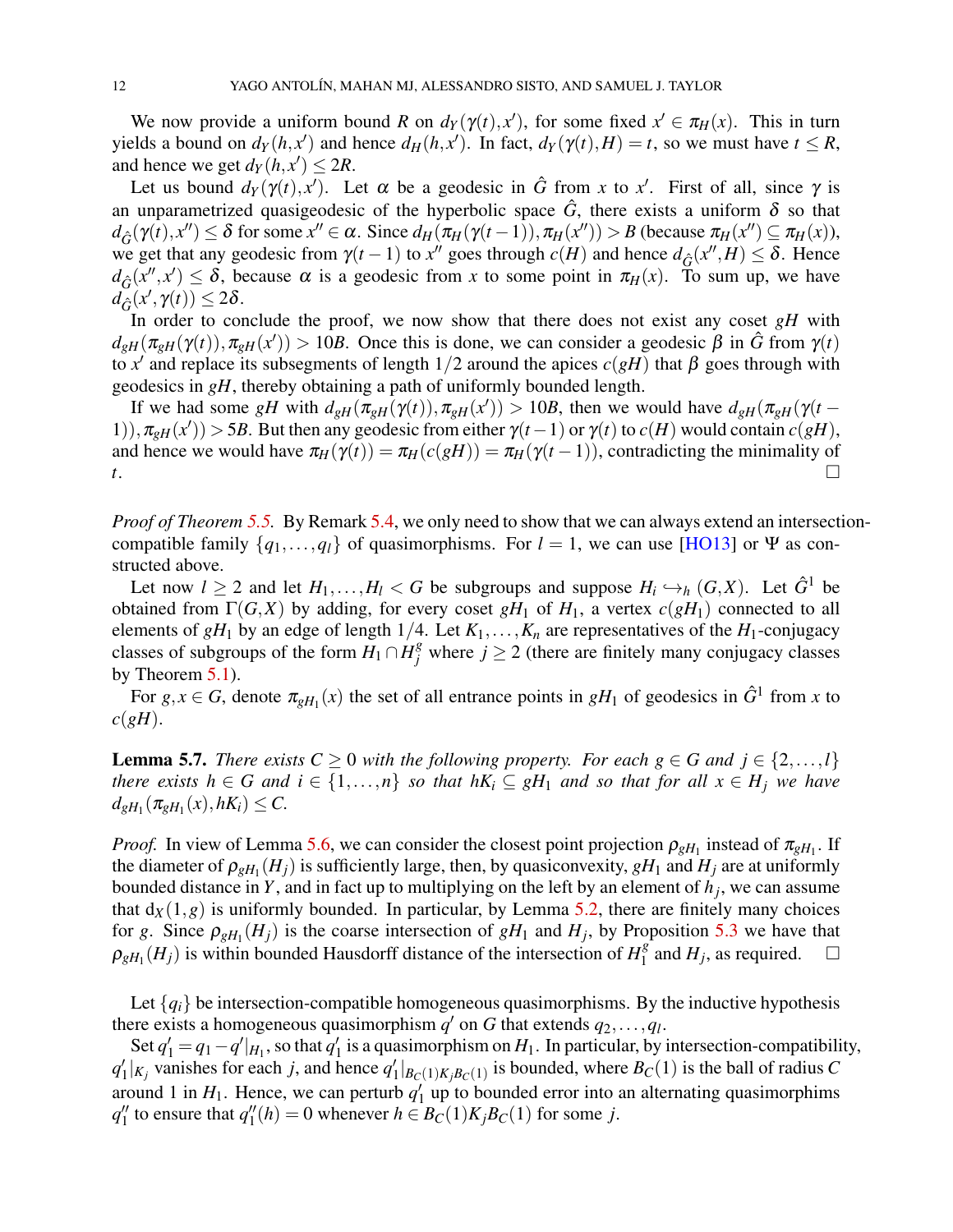We now provide a uniform bound *R* on  $d_Y(\gamma(t), x')$ , for some fixed  $x' \in \pi_H(x)$ . This in turn yields a bound on  $d_Y(h, x')$  and hence  $d_H(h, x')$ . In fact,  $d_Y(\gamma(t), H) = t$ , so we must have  $t \le R$ , and hence we get  $d_Y(h, x') \leq 2R$ .

Let us bound  $d_Y(\gamma(t), x')$ . Let  $\alpha$  be a geodesic in  $\hat{G}$  from *x* to  $x'$ . First of all, since  $\gamma$  is an unparametrized quasigeodesic of the hyperbolic space  $\hat{G}$ , there exists a uniform  $\delta$  so that  $d_{\hat{G}}(\gamma(t), x'') \leq \delta$  for some  $x'' \in \alpha$ . Since  $d_H(\pi_H(\gamma(t-1)), \pi_H(x'')) > B$  (because  $\pi_H(x'') \subseteq \pi_H(x)$ ), we get that any geodesic from  $\gamma(t-1)$  to  $x''$  goes through  $c(H)$  and hence  $d_{\hat{G}}(x'',H) \leq \delta$ . Hence  $d_{\hat{G}}(x'',x') \leq \delta$ , because  $\alpha$  is a geodesic from *x* to some point in  $\pi_H(x)$ . To sum up, we have  $d_{\hat{G}}(x', \gamma(t)) \leq 2\delta.$ 

In order to conclude the proof, we now show that there does not exist any coset *gH* with  $d_{gH}(\pi_{gH}(\gamma(t)), \pi_{gH}(x')) > 10B$ . Once this is done, we can consider a geodesic  $\beta$  in  $\hat{G}$  from  $\gamma(t)$ to *x'* and replace its subsegments of length  $1/2$  around the apices  $c(gH)$  that β goes through with geodesics in *gH*, thereby obtaining a path of uniformly bounded length.

If we had some *gH* with  $d_{gH}(\pi_{gH}(\gamma(t)), \pi_{gH}(x')) > 10B$ , then we would have  $d_{gH}(\pi_{gH}(\gamma(t))$ 1)),  $\pi_{gH}(x')$  > 5*B*. But then any geodesic from either  $\gamma(t-1)$  or  $\gamma(t)$  to  $c(H)$  would contain  $c(gH)$ , and hence we would have  $\pi_H(\gamma(t)) = \pi_H(c(gH)) = \pi_H(\gamma(t-1))$ , contradicting the minimality of *t*.

*Proof of Theorem [5.5.](#page-10-0)* By Remark [5.4,](#page-10-1) we only need to show that we can always extend an intersectioncompatible family  $\{q_1, \ldots, q_l\}$  of quasimorphisms. For  $l = 1$ , we can use [\[HO13\]](#page-14-12) or  $\Psi$  as constructed above.

Let now  $l \geq 2$  and let  $H_1, \ldots, H_l < G$  be subgroups and suppose  $H_i \hookrightarrow_h (G,X)$ . Let  $\hat{G}^1$  be obtained from  $\Gamma(G,X)$  by adding, for every coset *gH*<sub>1</sub> of *H*<sub>1</sub>, a vertex  $c(gH_1)$  connected to all elements of  $gH_1$  by an edge of length  $1/4$ . Let  $K_1, \ldots, K_n$  are representatives of the  $H_1$ -conjugacy classes of subgroups of the form  $H_1 \cap H_j^g$  where  $j \ge 2$  (there are finitely many conjugacy classes by Theorem [5.1\)](#page-8-0).

For  $g, x \in G$ , denote  $\pi_{gH_1}(x)$  the set of all entrance points in  $gH_1$  of geodesics in  $\hat{G}^1$  from *x* to  $c(gH)$ .

<span id="page-11-0"></span>**Lemma 5.7.** *There exists*  $C \ge 0$  *with the following property. For each g*  $\in$  *G and*  $j \in \{2,...,l\}$ *there exists*  $h \in G$  *and*  $i \in \{1, ..., n\}$  *so that*  $hK_i \subseteq gH_1$  *and so that for all*  $x \in H_i$  *we have*  $d_{gH_1}(\pi_{gH_1}(x), hK_i) \leq C.$ 

*Proof.* In view of Lemma [5.6,](#page-10-2) we can consider the closest point projection  $\rho_{gH_1}$  instead of  $\pi_{gH_1}$ . If the diameter of  $\rho_{gH_1}(H_j)$  is sufficiently large, then, by quasiconvexity,  $gH_1$  and  $H_j$  are at uniformly bounded distance in *Y*, and in fact up to multiplying on the left by an element of *h<sup>j</sup>* , we can assume that  $d_X(1,g)$  is uniformly bounded. In particular, by Lemma [5.2,](#page-8-1) there are finitely many choices for *g*. Since  $\rho_{gH_1}(H_j)$  is the coarse intersection of  $gH_1$  and  $H_j$ , by Proposition [5.3](#page-9-1) we have that  $\rho_{gH_1}(H_j)$  is within bounded Hausdorff distance of the intersection of  $H_1^g$  $\int_{1}^{g}$  and  $H_j$ , as required.  $\square$ 

Let  ${q_i}$  be intersection-compatible homogeneous quasimorphisms. By the inductive hypothesis there exists a homogeneous quasimorphism  $q'$  on G that extends  $q_2, \ldots, q_l$ .

Set  $q'_1 = q_1 - q' |_{H_1}$ , so that  $q'_1$  $\frac{1}{1}$  is a quasimorphism on  $H_1$ . In particular, by intersection-compatibility, *q* 0  $\frac{1}{2}$  |  $K_j$  vanishes for each *j*, and hence  $q'_1$  $\int_{1}^{t} |B_C(1)K_jB_C(1)|$  is bounded, where  $B_C(1)$  is the ball of radius *C* around 1 in  $H_1$ . Hence, we can perturb  $q_1'$  $\frac{1}{1}$  up to bounded error into an alternating quasimorphims  $q_1''$  $\frac{1}{1}$  to ensure that  $q_1''$  $J_1''(h) = 0$  whenever  $h \in B_C(1)K_jB_C(1)$  for some *j*.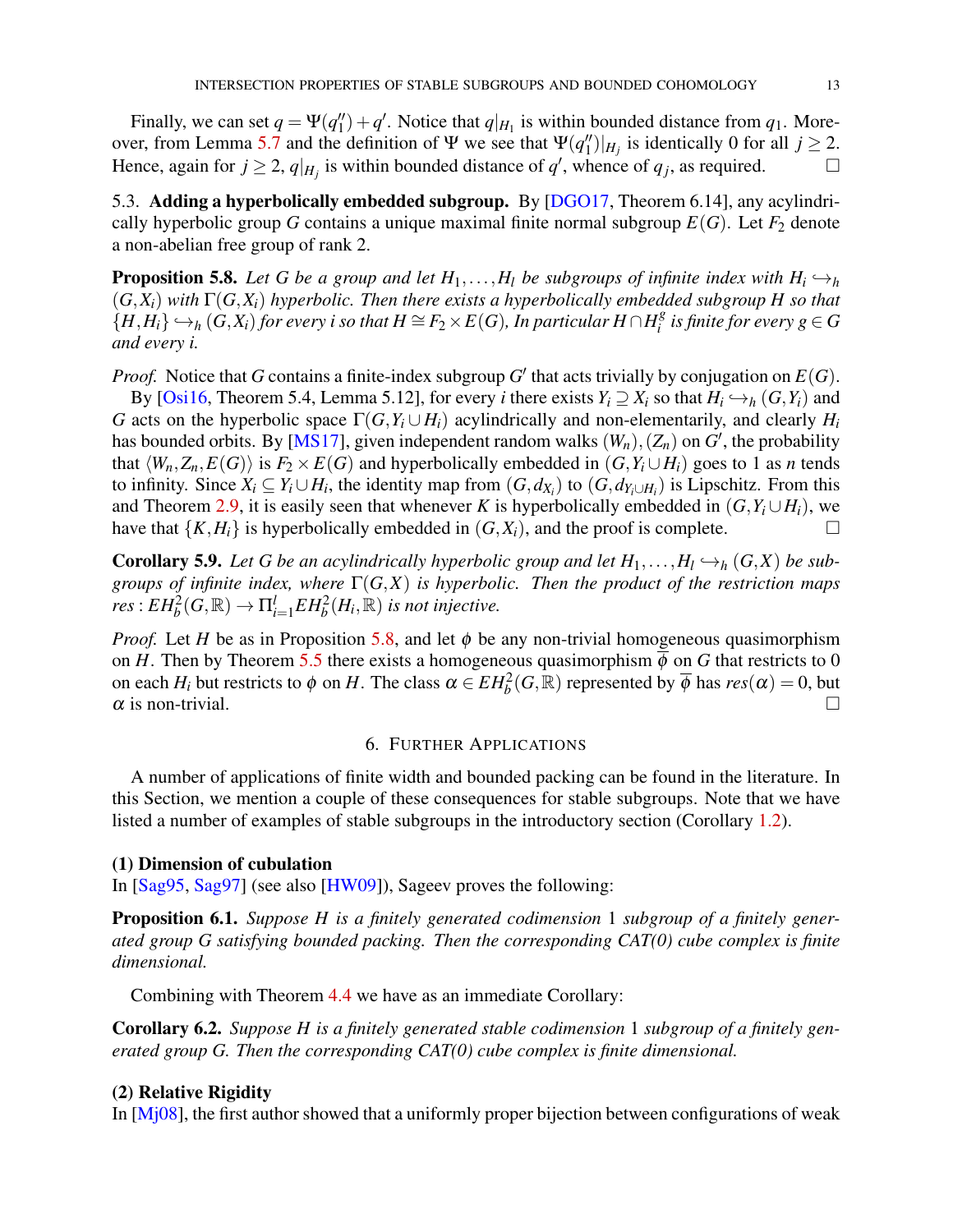Finally, we can set  $q = \Psi(q_1)$  $\binom{n}{1} + q'$ . Notice that  $q|_{H_1}$  is within bounded distance from  $q_1$ . More-over, from Lemma [5.7](#page-11-0) and the definition of  $\Psi$  we see that  $\Psi(q_1)$  $\binom{n}{1}|_{H_j}$  is identically 0 for all  $j \geq 2$ . Hence, again for  $j \ge 2$ ,  $q|_{H_j}$  is within bounded distance of  $q'$ , whence of  $q_j$ , as required.

5.3. Adding a hyperbolically embedded subgroup. By [\[DGO17,](#page-14-11) Theorem 6.14], any acylindrically hyperbolic group *G* contains a unique maximal finite normal subgroup  $E(G)$ . Let  $F_2$  denote a non-abelian free group of rank 2.

<span id="page-12-2"></span>**Proposition 5.8.** Let G be a group and let  $H_1, \ldots, H_l$  be subgroups of infinite index with  $H_i \hookrightarrow_h$  $(G, X_i)$  with  $\Gamma(G, X_i)$  *hyperbolic. Then there exists a hyperbolically embedded subgroup H so that*  ${H,H_i} \hookrightarrow_h (G,X_i)$  for every i so that  $H \cong F_2 \times E(G)$ , In particular  $H \cap H_i^g$  $\int_i^g$  is finite for every  $g \in G$ *and every i.*

*Proof.* Notice that *G* contains a finite-index subgroup *G*<sup> $\prime$ </sup> that acts trivially by conjugation on  $E(G)$ . By [\[Osi16,](#page-15-9) Theorem 5.4, Lemma 5.12], for every *i* there exists  $Y_i \supseteq X_i$  so that  $H_i \hookrightarrow_h (G, Y_i)$  and *G* acts on the hyperbolic space  $\Gamma(G, Y_i \cup H_i)$  acylindrically and non-elementarily, and clearly  $H_i$ has bounded orbits. By [\[MS17\]](#page-15-13), given independent random walks  $(W_n)$ ,  $(Z_n)$  on  $G'$ , the probability that  $\langle W_n, Z_n, E(G) \rangle$  is  $F_2 \times E(G)$  and hyperbolically embedded in  $(G, Y_i \cup H_i)$  goes to 1 as *n* tends to infinity. Since  $X_i \subseteq Y_i \cup H_i$ , the identity map from  $(G, d_{X_i})$  to  $(G, d_{Y_i \cup H_i})$  is Lipschitz. From this and Theorem [2.9,](#page-4-1) it is easily seen that whenever *K* is hyperbolically embedded in  $(G, Y_i \cup H_i)$ , we have that  ${K, H_i}$  is hyperbolically embedded in  $(G, X_i)$ , and the proof is complete.

<span id="page-12-1"></span>**Corollary 5.9.** Let G be an acylindrically hyperbolic group and let  $H_1, \ldots, H_l \hookrightarrow_h (G,X)$  be sub*groups of infinite index, where* Γ(*G*,*X*) *is hyperbolic. Then the product of the restriction maps*  $res: EH_b^2(G, \mathbb{R}) \to \Pi_{i=1}^l EH_b^2(H_i, \mathbb{R})$  *is not injective.* 

*Proof.* Let *H* be as in Proposition [5.8,](#page-12-2) and let  $\phi$  be any non-trivial homogeneous quasimorphism on *H*. Then by Theorem [5.5](#page-10-0) there exists a homogeneous quasimorphism  $\overline{\phi}$  on *G* that restricts to 0 on each  $H_i$  but restricts to  $\phi$  on  $H$ . The class  $\alpha \in EH_b^2(G, \mathbb{R})$  represented by  $\overline{\phi}$  has  $res(\alpha) = 0$ , but  $\alpha$  is non-trivial.

## 6. FURTHER APPLICATIONS

A number of applications of finite width and bounded packing can be found in the literature. In this Section, we mention a couple of these consequences for stable subgroups. Note that we have listed a number of examples of stable subgroups in the introductory section (Corollary [1.2\)](#page-1-0).

## (1) Dimension of cubulation

In [\[Sag95,](#page-15-5) [Sag97\]](#page-15-6) (see also [\[HW09\]](#page-15-2)), Sageev proves the following:

Proposition 6.1. *Suppose H is a finitely generated codimension* 1 *subgroup of a finitely generated group G satisfying bounded packing. Then the corresponding CAT(0) cube complex is finite dimensional.*

Combining with Theorem [4.4](#page-7-2) we have as an immediate Corollary:

<span id="page-12-0"></span>Corollary 6.2. *Suppose H is a finitely generated stable codimension* 1 *subgroup of a finitely generated group G. Then the corresponding CAT(0) cube complex is finite dimensional.*

### (2) Relative Rigidity

In  $[M<sub>1</sub>08]$ , the first author showed that a uniformly proper bijection between configurations of weak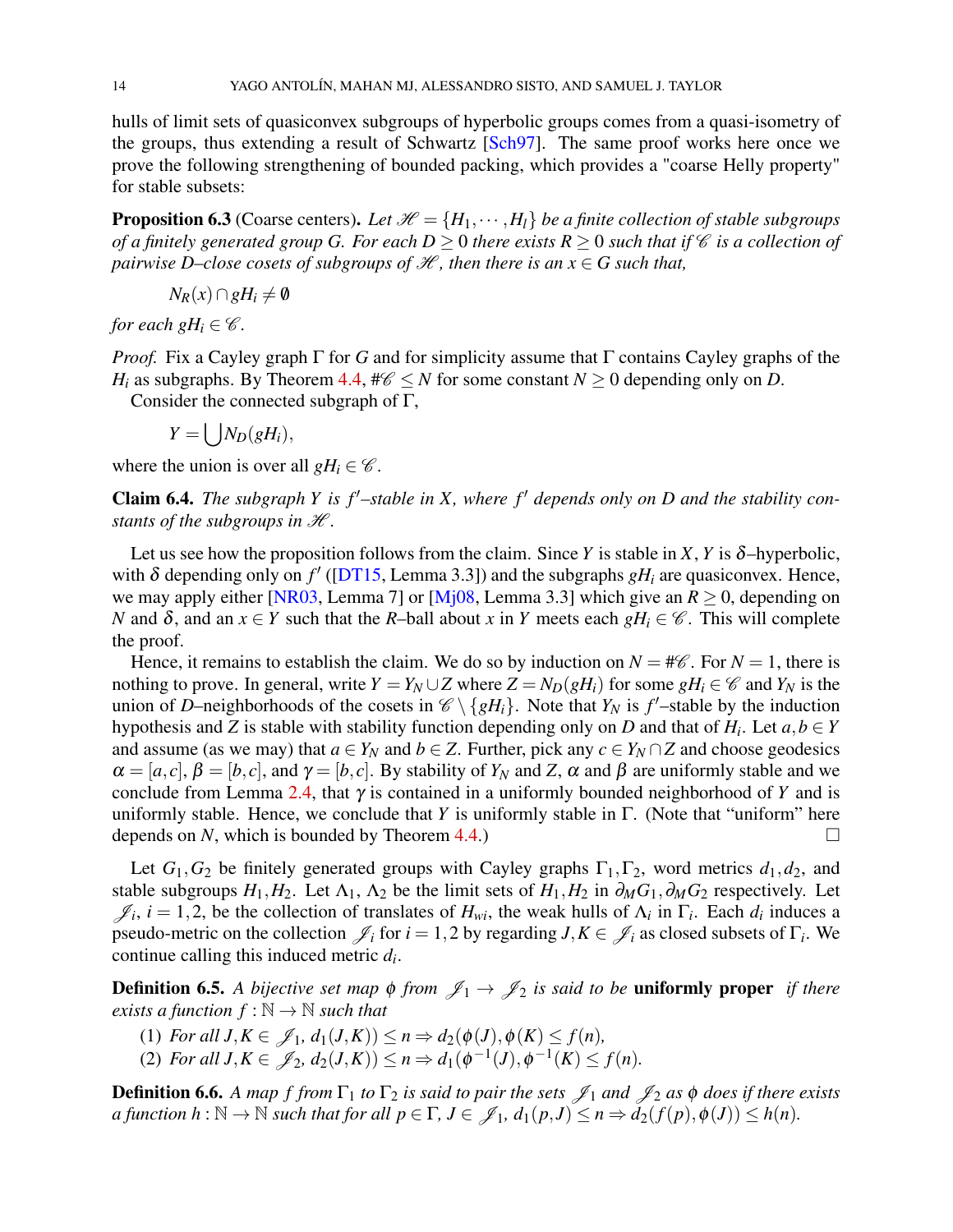hulls of limit sets of quasiconvex subgroups of hyperbolic groups comes from a quasi-isometry of the groups, thus extending a result of Schwartz [\[Sch97\]](#page-15-7). The same proof works here once we prove the following strengthening of bounded packing, which provides a "coarse Helly property" for stable subsets:

<span id="page-13-0"></span>**Proposition 6.3** (Coarse centers). Let  $\mathcal{H} = \{H_1, \dots, H_l\}$  be a finite collection of stable subgroups *of a finitely generated group G. For each D*  $\geq$  *0 there exists R*  $\geq$  *0 such that if*  $\mathscr C$  *is a collection of pairwise D–close cosets of subgroups of*  $\mathcal{H}$ , then there is an  $x \in G$  such that,

$$
N_R(x)\cap gH_i\neq\emptyset
$$

*for each gH*<sub>*i*</sub>  $\in \mathscr{C}$ *.* 

*Proof.* Fix a Cayley graph Γ for *G* and for simplicity assume that Γ contains Cayley graphs of the *H*<sub>i</sub> as subgraphs. By Theorem [4.4,](#page-7-2)  $\#\mathscr{C} \leq N$  for some constant  $N \geq 0$  depending only on *D*.

Consider the connected subgraph of Γ,

$$
Y=\bigcup N_D(gH_i),
$$

where the union is over all  $gH_i \in \mathscr{C}$ .

**Claim 6.4.** The subgraph Y is  $f'$ -stable in X, where  $f'$  depends only on D and the stability con*stants of the subgroups in*  $H$ .

Let us see how the proposition follows from the claim. Since *Y* is stable in *X*, *Y* is  $\delta$ -hyperbolic, with  $\delta$  depending only on  $f'$  ([\[DT15,](#page-14-5) Lemma 3.3]) and the subgraphs  $gH_i$  are quasiconvex. Hence, we may apply either [\[NR03,](#page-15-14) Lemma 7] or [\[Mj08,](#page-15-8) Lemma 3.3] which give an  $R \ge 0$ , depending on *N* and  $\delta$ , and an  $x \in Y$  such that the *R*–ball about *x* in *Y* meets each  $gH_i \in \mathcal{C}$ . This will complete the proof.

Hence, it remains to establish the claim. We do so by induction on  $N = \frac{H}{C}$ . For  $N = 1$ , there is nothing to prove. In general, write  $Y = Y_N \cup Z$  where  $Z = N_D(gH_i)$  for some  $gH_i \in \mathcal{C}$  and  $Y_N$  is the union of *D*–neighborhoods of the cosets in  $\mathscr{C} \setminus \{gH_i\}$ . Note that  $Y_N$  is  $f'$ –stable by the induction hypothesis and *Z* is stable with stability function depending only on *D* and that of  $H_i$ . Let  $a, b \in Y$ and assume (as we may) that  $a \in Y_N$  and  $b \in Z$ . Further, pick any  $c \in Y_N \cap Z$  and choose geodesics  $\alpha = [a, c], \beta = [b, c],$  and  $\gamma = [b, c]$ . By stability of  $Y_N$  and  $Z$ ,  $\alpha$  and  $\beta$  are uniformly stable and we conclude from Lemma [2.4,](#page-3-3) that γ is contained in a uniformly bounded neighborhood of *Y* and is uniformly stable. Hence, we conclude that *Y* is uniformly stable in  $\Gamma$ . (Note that "uniform" here depends on *N*, which is bounded by Theorem [4.4.](#page-7-2))

Let  $G_1, G_2$  be finitely generated groups with Cayley graphs  $\Gamma_1, \Gamma_2$ , word metrics  $d_1, d_2$ , and stable subgroups  $H_1, H_2$ . Let  $\Lambda_1, \Lambda_2$  be the limit sets of  $H_1, H_2$  in  $\partial_M G_1, \partial_M G_2$  respectively. Let  $\mathcal{J}_i$ ,  $i = 1, 2$ , be the collection of translates of  $H_{wi}$ , the weak hulls of  $\Lambda_i$  in  $\Gamma_i$ . Each  $d_i$  induces a pseudo-metric on the collection  $\mathcal{J}_i$  for  $i = 1, 2$  by regarding  $J, K \in \mathcal{J}_i$  as closed subsets of  $\Gamma_i$ . We continue calling this induced metric *d<sup>i</sup>* .

**Definition 6.5.** A bijective set map  $\phi$  from  $\mathcal{J}_1 \rightarrow \mathcal{J}_2$  is said to be **uniformly proper** *if there exists a function*  $f : \mathbb{N} \to \mathbb{N}$  *such that* 

- (1) *For all*  $J, K \in \mathcal{J}_1$ ,  $d_1(J, K) \leq n \Rightarrow d_2(\phi(J), \phi(K) \leq f(n)$ ,
- (2) *For all*  $J, K \in \mathscr{J}_2$ ,  $d_2(J, K) \leq n \Rightarrow d_1(\phi^{-1}(J), \phi^{-1}(K) \leq f(n)$ .

**Definition 6.6.** A map f from  $\Gamma_1$  to  $\Gamma_2$  is said to pair the sets  $\mathscr{J}_1$  and  $\mathscr{J}_2$  as  $\phi$  does if there exists *a function h* :  $\mathbb{N} \to \mathbb{N}$  *such that for all*  $p \in \Gamma$ *,*  $J \in \mathscr{J}_1$ *,*  $d_1(p, J) \leq n \Rightarrow d_2(f(p), \phi(J)) \leq h(n)$ *.*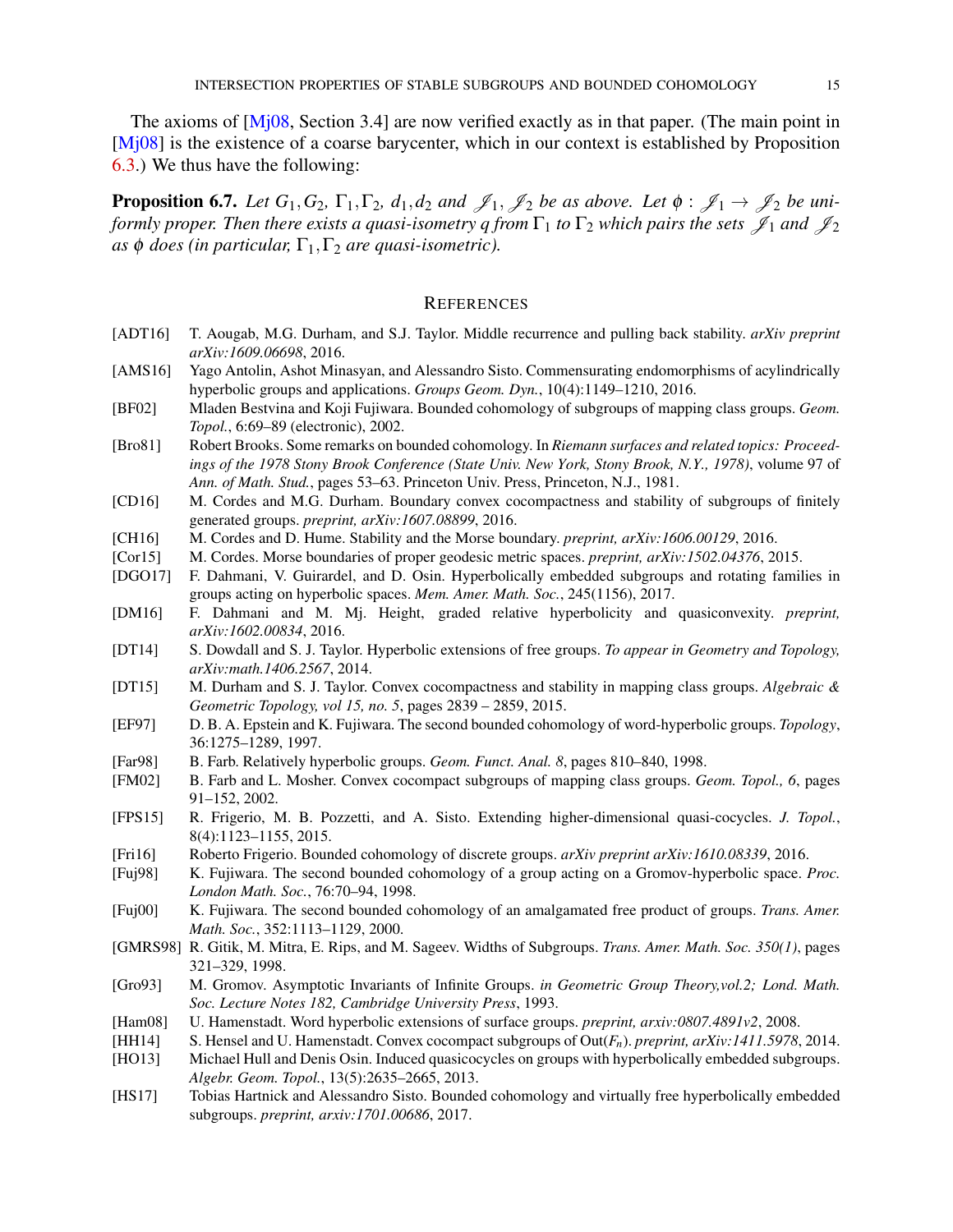The axioms of  $[M_1]$   $(M_2)$ , Section 3.4] are now verified exactly as in that paper. (The main point in [\[Mj08\]](#page-15-8) is the existence of a coarse barycenter, which in our context is established by Proposition [6.3.](#page-13-0)) We thus have the following:

<span id="page-14-10"></span>**Proposition 6.7.** *Let*  $G_1, G_2, \Gamma_1, \Gamma_2, d_1, d_2$  *and*  $\mathscr{J}_1, \mathscr{J}_2$  *be as above. Let*  $\phi : \mathscr{J}_1 \to \mathscr{J}_2$  *be uniformly proper. Then there exists a quasi-isometry q from*  $\Gamma_1$  *to*  $\Gamma_2$  *which pairs the sets*  $\mathcal{J}_1$  *and*  $\mathcal{J}_2$  $as \phi$  *does (in particular,*  $\Gamma_1, \Gamma_2$  *are quasi-isometric).* 

#### **REFERENCES**

- <span id="page-14-4"></span>[ADT16] T. Aougab, M.G. Durham, and S.J. Taylor. Middle recurrence and pulling back stability. *arXiv preprint arXiv:1609.06698*, 2016.
- <span id="page-14-23"></span>[AMS16] Yago Antolin, Ashot Minasyan, and Alessandro Sisto. Commensurating endomorphisms of acylindrically hyperbolic groups and applications. *Groups Geom. Dyn.*, 10(4):1149–1210, 2016.
- <span id="page-14-19"></span>[BF02] Mladen Bestvina and Koji Fujiwara. Bounded cohomology of subgroups of mapping class groups. *Geom. Topol.*, 6:69–89 (electronic), 2002.
- <span id="page-14-16"></span>[Bro81] Robert Brooks. Some remarks on bounded cohomology. In *Riemann surfaces and related topics: Proceedings of the 1978 Stony Brook Conference (State Univ. New York, Stony Brook, N.Y., 1978)*, volume 97 of *Ann. of Math. Stud.*, pages 53–63. Princeton Univ. Press, Princeton, N.J., 1981.
- <span id="page-14-8"></span>[CD16] M. Cordes and M.G. Durham. Boundary convex cocompactness and stability of subgroups of finitely generated groups. *preprint, arXiv:1607.08899*, 2016.
- <span id="page-14-22"></span>[CH16] M. Cordes and D. Hume. Stability and the Morse boundary. *preprint, arXiv:1606.00129*, 2016.
- <span id="page-14-21"></span>[Cor15] M. Cordes. Morse boundaries of proper geodesic metric spaces. *preprint, arXiv:1502.04376*, 2015.
- <span id="page-14-11"></span>[DGO17] F. Dahmani, V. Guirardel, and D. Osin. Hyperbolically embedded subgroups and rotating families in groups acting on hyperbolic spaces. *Mem. Amer. Math. Soc.*, 245(1156), 2017.
- <span id="page-14-7"></span>[DM16] F. Dahmani and M. Mj. Height, graded relative hyperbolicity and quasiconvexity. *preprint, arXiv:1602.00834*, 2016.
- <span id="page-14-2"></span>[DT14] S. Dowdall and S. J. Taylor. Hyperbolic extensions of free groups. *To appear in Geometry and Topology, arXiv:math.1406.2567*, 2014.
- <span id="page-14-5"></span>[DT15] M. Durham and S. J. Taylor. Convex cocompactness and stability in mapping class groups. *Algebraic & Geometric Topology, vol 15, no. 5*, pages 2839 – 2859, 2015.
- <span id="page-14-17"></span>[EF97] D. B. A. Epstein and K. Fujiwara. The second bounded cohomology of word-hyperbolic groups. *Topology*, 36:1275–1289, 1997.
- <span id="page-14-9"></span>[Far98] B. Farb. Relatively hyperbolic groups. *Geom. Funct. Anal. 8*, pages 810–840, 1998.
- <span id="page-14-0"></span>[FM02] B. Farb and L. Mosher. Convex cocompact subgroups of mapping class groups. *Geom. Topol., 6*, pages 91–152, 2002.
- <span id="page-14-13"></span>[FPS15] R. Frigerio, M. B. Pozzetti, and A. Sisto. Extending higher-dimensional quasi-cocycles. *J. Topol.*, 8(4):1123–1155, 2015.
- <span id="page-14-15"></span>[Fri16] Roberto Frigerio. Bounded cohomology of discrete groups. *arXiv preprint arXiv:1610.08339*, 2016.
- <span id="page-14-18"></span>[Fuj98] K. Fujiwara. The second bounded cohomology of a group acting on a Gromov-hyperbolic space. *Proc. London Math. Soc.*, 76:70–94, 1998.
- <span id="page-14-20"></span>[Fuj00] K. Fujiwara. The second bounded cohomology of an amalgamated free product of groups. *Trans. Amer. Math. Soc.*, 352:1113–1129, 2000.
- <span id="page-14-6"></span>[GMRS98] R. Gitik, M. Mitra, E. Rips, and M. Sageev. Widths of Subgroups. *Trans. Amer. Math. Soc. 350(1)*, pages 321–329, 1998.
- <span id="page-14-24"></span>[Gro93] M. Gromov. Asymptotic Invariants of Infinite Groups. *in Geometric Group Theory,vol.2; Lond. Math. Soc. Lecture Notes 182, Cambridge University Press*, 1993.
- <span id="page-14-1"></span>[Ham08] U. Hamenstadt. Word hyperbolic extensions of surface groups. *preprint, arxiv:0807.4891v2*, 2008.
- <span id="page-14-3"></span>[HH14] S. Hensel and U. Hamenstadt. Convex cocompact subgroups of Out(*Fn*). *preprint, arXiv:1411.5978*, 2014.
- <span id="page-14-12"></span>[HO13] Michael Hull and Denis Osin. Induced quasicocycles on groups with hyperbolically embedded subgroups. *Algebr. Geom. Topol.*, 13(5):2635–2665, 2013.
- <span id="page-14-14"></span>[HS17] Tobias Hartnick and Alessandro Sisto. Bounded cohomology and virtually free hyperbolically embedded subgroups. *preprint, arxiv:1701.00686*, 2017.